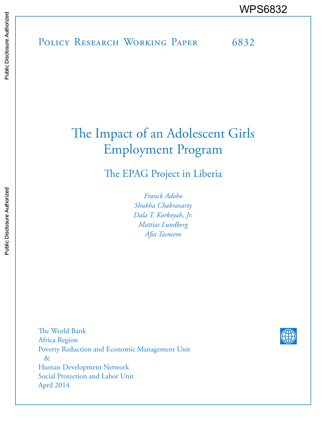# POLICY RESEARCH WORKING PAPER 6832 WPS6832

# The Impact of an Adolescent Girls Employment Program

The EPAG Project in Liberia

*Franck Adoho Shubha Chakravarty Dala T. Korkoyah, Jr. Mattias Lundberg Afia Tasneem*

The World Bank Africa Region Poverty Reduction and Economic Management Unit & Human Development Network Social Protection and Labor Unit April 2014

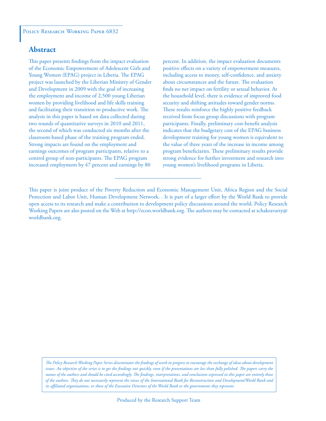# **Abstract**

This paper presents findings from the impact evaluation of the Economic Empowerment of Adolescent Girls and Young Women (EPAG) project in Liberia. The EPAG project was launched by the Liberian Ministry of Gender and Development in 2009 with the goal of increasing the employment and income of 2,500 young Liberian women by providing livelihood and life skills training and facilitating their transition to productive work. The analysis in this paper is based on data collected during two rounds of quantitative surveys in 2010 and 2011, the second of which was conducted six months after the classroom-based phase of the training program ended. Strong impacts are found on the employment and earnings outcomes of program participants, relative to a control group of non-participants. The EPAG program increased employment by 47 percent and earnings by 80

percent. In addition, the impact evaluation documents positive effects on a variety of empowerment measures, including access to money, self-confidence, and anxiety about circumstances and the future. The evaluation finds no net impact on fertility or sexual behavior. At the household level, there is evidence of improved food security and shifting attitudes toward gender norms. These results reinforce the highly positive feedback received from focus group discussions with program participants. Finally, preliminary cost-benefit analysis indicates that the budgetary cost of the EPAG business development training for young women is equivalent to the value of three years of the increase in income among program beneficiaries. These preliminary results provide strong evidence for further investment and research into young women's livelihood programs in Liberia.

*The Policy Research Working Paper Series disseminates the findings of work in progress to encourage the exchange of ideas about development*  issues. An objective of the series is to get the findings out quickly, even if the presentations are less than fully polished. The papers carry the *names of the authors and should be cited accordingly. The findings, interpretations, and conclusions expressed in this paper are entirely those of the authors. They do not necessarily represent the views of the International Bank for Reconstruction and Development/World Bank and its affiliated organizations, or those of the Executive Directors of the World Bank or the governments they represent.*

This paper is joint product of the Poverty Reduction and Economic Management Unit, Africa Region and the Social Protection and Labor Unit, Human Development Network. . It is part of a larger effort by the World Bank to provide open access to its research and make a contribution to development policy discussions around the world. Policy Research Working Papers are also posted on the Web at http://econ.worldbank.org. The authors may be contacted at schakravarty@ worldbank.org.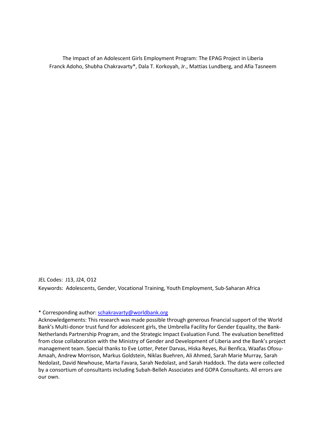The Impact of an Adolescent Girls Employment Program: The EPAG Project in Liberia Franck Adoho, Shubha Chakravarty\*, Dala T. Korkoyah, Jr., Mattias Lundberg, and Afia Tasneem

JEL Codes: J13, J24, O12 Keywords: Adolescents, Gender, Vocational Training, Youth Employment, Sub-Saharan Africa

\* Corresponding author: [schakravarty@worldbank.org](mailto:schakravarty@worldbank.org)

Acknowledgements: This research was made possible through generous financial support of the World Bank's Multi-donor trust fund for adolescent girls, the Umbrella Facility for Gender Equality, the Bank-Netherlands Partnership Program, and the Strategic Impact Evaluation Fund. The evaluation benefitted from close collaboration with the Ministry of Gender and Development of Liberia and the Bank's project management team. Special thanks to Eve Lotter, Peter Darvas, Hiska Reyes, Rui Benfica, Waafas Ofosu-Amaah, Andrew Morrison, Markus Goldstein, Niklas Buehren, Ali Ahmed, Sarah Marie Murray, Sarah Nedolast, David Newhouse, Marta Favara, Sarah Nedolast, and Sarah Haddock. The data were collected by a consortium of consultants including Subah-Belleh Associates and GOPA Consultants. All errors are our own.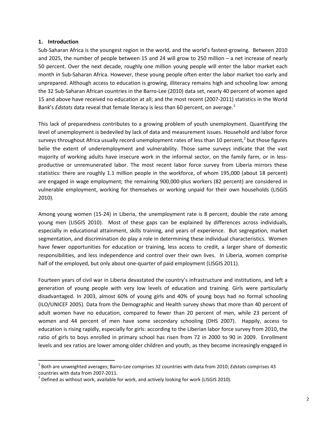# **1. Introduction**

l

Sub-Saharan Africa is the youngest region in the world, and the world's fastest-growing. Between 2010 and 2025, the number of people between 15 and 24 will grow to 250 million – a net increase of nearly 50 percent. Over the next decade, roughly one million young people will enter the labor market each month in Sub-Saharan Africa. However, these young people often enter the labor market too early and unprepared. Although access to education is growing, illiteracy remains high and schooling low: among the 32 Sub-Saharan African countries in the Barro-Lee (2010) data set, nearly 40 percent of women aged 15 and above have received no education at all; and the most recent (2007-2011) statistics in the World Bank's *Edstats* data reveal that female literacy is less than 60 percent, on average. [1](#page-3-0)

This lack of preparedness contributes to a growing problem of youth unemployment. Quantifying the level of unemployment is bedeviled by lack of data and measurement issues. Household and labor force surveys throughout Africa usually record unemployment rates of less than 10 percent,<sup>[2](#page-3-1)</sup> but those figures belie the extent of underemployment and vulnerability. Those same surveys indicate that the vast majority of working adults have insecure work in the informal sector, on the family farm, or in lessproductive or unremunerated labor. The most recent labor force survey from Liberia mirrors these statistics: there are roughly 1.1 million people in the workforce, of whom 195,000 (about 18 percent) are engaged in wage employment; the remaining 900,000-plus workers (82 percent) are considered in vulnerable employment, working for themselves or working unpaid for their own households (LISGIS 2010).

Among young women (15-24) in Liberia, the unemployment rate is 8 percent, double the rate among young men (LISGIS 2010). Most of these gaps can be explained by differences across individuals, especially in educational attainment, skills training, and years of experience. But segregation, market segmentation, and discrimination do play a role in determining these individual characteristics. Women have fewer opportunities for education or training, less access to credit, a larger share of domestic responsibilities, and less independence and control over their own lives. In Liberia, women comprise half of the employed, but only about one-quarter of paid employment (LISGIS 2011).

Fourteen years of civil war in Liberia devastated the country's infrastructure and institutions, and left a generation of young people with very low levels of education and training. Girls were particularly disadvantaged. In 2003, almost 60% of young girls and 40% of young boys had no formal schooling (ILO/UNICEF 2005). Data from the Demographic and Health survey shows that more than 40 percent of adult women have no education, compared to fewer than 20 percent of men, while 23 percent of women and 44 percent of men have some secondary schooling (DHS 2007). Happily, access to education is rising rapidly, especially for girls: according to the Liberian labor force survey from 2010, the ratio of girls to boys enrolled in primary school has risen from 72 in 2000 to 90 in 2009. Enrollment levels and sex ratios are lower among older children and youth, as they become increasingly engaged in

<span id="page-3-0"></span><sup>1</sup> Both are unweighted averages; Barro-Lee comprises 32 countries with data from 2010; *Edstats* comprises 43 countries with data from 2007-2011.<br><sup>2</sup> Defined as without work, available for work, and actively looking for work (LISGIS 2010).

<span id="page-3-1"></span>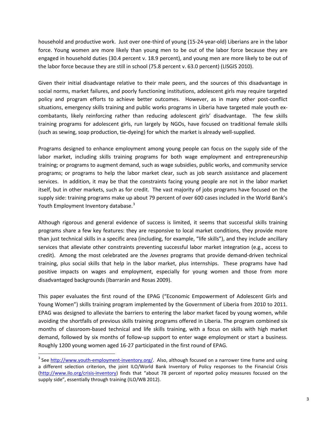household and productive work. Just over one-third of young (15-24-year-old) Liberians are in the labor force. Young women are more likely than young men to be out of the labor force because they are engaged in household duties (30.4 percent v. 18.9 percent), and young men are more likely to be out of the labor force because they are still in school (75.8 percent v. 63.0 percent) (LISGIS 2010).

Given their initial disadvantage relative to their male peers, and the sources of this disadvantage in social norms, market failures, and poorly functioning institutions, adolescent girls may require targeted policy and program efforts to achieve better outcomes. However, as in many other post-conflict situations, emergency skills training and public works programs in Liberia have targeted male youth excombatants, likely reinforcing rather than reducing adolescent girls' disadvantage. The few skills training programs for adolescent girls, run largely by NGOs, have focused on traditional female skills (such as sewing, soap production, tie-dyeing) for which the market is already well-supplied.

Programs designed to enhance employment among young people can focus on the supply side of the labor market, including skills training programs for both wage employment and entrepreneurship training; or programs to augment demand, such as wage subsidies, public works, and community service programs; or programs to help the labor market clear, such as job search assistance and placement services. In addition, it may be that the constraints facing young people are not in the labor market itself, but in other markets, such as for credit. The vast majority of jobs programs have focused on the supply side: training programs make up about 79 percent of over 600 cases included in the World Bank's Youth Employment Inventory database.<sup>[3](#page-4-0)</sup>

Although rigorous and general evidence of success is limited, it seems that successful skills training programs share a few key features: they are responsive to local market conditions, they provide more than just technical skills in a specific area (including, for example, "life skills"), and they include ancillary services that alleviate other constraints preventing successful labor market integration (e.g., access to credit). Among the most celebrated are the *Jovenes* programs that provide demand-driven technical training, plus social skills that help in the labor market, plus internships. These programs have had positive impacts on wages and employment, especially for young women and those from more disadvantaged backgrounds (Ibarrarán and Rosas 2009).

This paper evaluates the first round of the EPAG ("Economic Empowerment of Adolescent Girls and Young Women") skills training program implemented by the Government of Liberia from 2010 to 2011. EPAG was designed to alleviate the barriers to entering the labor market faced by young women, while avoiding the shortfalls of previous skills training programs offered in Liberia. The program combined six months of classroom-based technical and life skills training, with a focus on skills with high market demand, followed by six months of follow-up support to enter wage employment or start a business. Roughly 1200 young women aged 16-27 participated in the first round of EPAG.

 $\overline{\phantom{a}}$ 

<span id="page-4-0"></span> $3$  See [http://www.youth-employment-inventory.org/.](http://www.youth-employment-inventory.org/) Also, although focused on a narrower time frame and using a different selection criterion, the joint ILO/World Bank Inventory of Policy responses to the Financial Crisis [\(http://www.ilo.org/crisis-inventory\)](http://www.ilo.org/crisis-inventory) finds that "about 78 percent of reported policy measures focused on the supply side", essentially through training (ILO/WB 2012).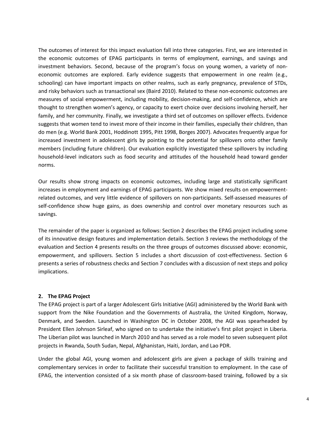The outcomes of interest for this impact evaluation fall into three categories. First, we are interested in the economic outcomes of EPAG participants in terms of employment, earnings, and savings and investment behaviors. Second, because of the program's focus on young women, a variety of noneconomic outcomes are explored. Early evidence suggests that empowerment in one realm (e.g., schooling) can have important impacts on other realms, such as early pregnancy, prevalence of STDs, and risky behaviors such as transactional sex (Baird 2010). Related to these non-economic outcomes are measures of social empowerment, including mobility, decision-making, and self-confidence, which are thought to strengthen women's agency, or capacity to exert choice over decisions involving herself, her family, and her community. Finally, we investigate a third set of outcomes on spillover effects. Evidence suggests that women tend to invest more of their income in their families, especially their children, than do men (e.g. World Bank 2001, Hoddinott 1995, Pitt 1998, Borges 2007). Advocates frequently argue for increased investment in adolescent girls by pointing to the potential for spillovers onto other family members (including future children). Our evaluation explicitly investigated these spillovers by including household-level indicators such as food security and attitudes of the household head toward gender norms.

Our results show strong impacts on economic outcomes, including large and statistically significant increases in employment and earnings of EPAG participants. We show mixed results on empowermentrelated outcomes, and very little evidence of spillovers on non-participants. Self-assessed measures of self-confidence show huge gains, as does ownership and control over monetary resources such as savings.

The remainder of the paper is organized as follows: Section 2 describes the EPAG project including some of its innovative design features and implementation details. Section 3 reviews the methodology of the evaluation and Section 4 presents results on the three groups of outcomes discussed above: economic, empowerment, and spillovers. Section 5 includes a short discussion of cost-effectiveness. Section 6 presents a series of robustness checks and Section 7 concludes with a discussion of next steps and policy implications.

# **2. The EPAG Project**

The EPAG project is part of a larger Adolescent Girls Initiative (AGI) administered by the World Bank with support from the Nike Foundation and the Governments of Australia, the United Kingdom, Norway, Denmark, and Sweden. Launched in Washington DC in October 2008, the AGI was spearheaded by President Ellen Johnson Sirleaf, who signed on to undertake the initiative's first pilot project in Liberia. The Liberian pilot was launched in March 2010 and has served as a role model to seven subsequent pilot projects in Rwanda, South Sudan, Nepal, Afghanistan, Haiti, Jordan, and Lao PDR.

Under the global AGI, young women and adolescent girls are given a package of skills training and complementary services in order to facilitate their successful transition to employment. In the case of EPAG, the intervention consisted of a six month phase of classroom-based training, followed by a six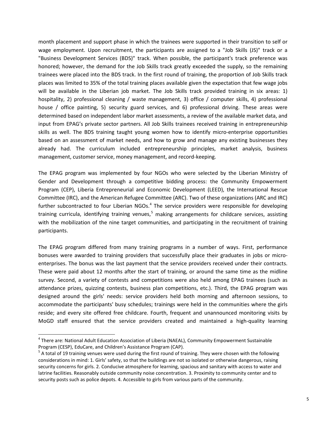month placement and support phase in which the trainees were supported in their transition to self or wage employment. Upon recruitment, the participants are assigned to a "Job Skills (JS)" track or a "Business Development Services (BDS)" track. When possible, the participant's track preference was honored; however, the demand for the Job Skills track greatly exceeded the supply, so the remaining trainees were placed into the BDS track. In the first round of training, the proportion of Job Skills track places was limited to 35% of the total training places available given the expectation that few wage jobs will be available in the Liberian job market. The Job Skills track provided training in six areas: 1) hospitality, 2) professional cleaning / waste management, 3) office / computer skills, 4) professional house / office painting, 5) security guard services, and 6) professional driving. These areas were determined based on independent labor market assessments, a review of the available market data, and input from EPAG's private sector partners. All Job Skills trainees received training in entrepreneurship skills as well. The BDS training taught young women how to identify micro-enterprise opportunities based on an assessment of market needs, and how to grow and manage any existing businesses they already had. The curriculum included entrepreneurship principles, market analysis, business management, customer service, money management, and record-keeping.

The EPAG program was implemented by four NGOs who were selected by the Liberian Ministry of Gender and Development through a competitive bidding process: the Community Empowerment Program (CEP), Liberia Entrepreneurial and Economic Development (LEED), the International Rescue Committee (IRC), and the American Refugee Committee (ARC). Two of these organizations (ARC and IRC) further subcontracted to four Liberian NGOs. $4$  The service providers were responsible for developing training curricula, identifying training venues,<sup>[5](#page-6-1)</sup> making arrangements for childcare services, assisting with the mobilization of the nine target communities, and participating in the recruitment of training participants.

The EPAG program differed from many training programs in a number of ways. First, performance bonuses were awarded to training providers that successfully place their graduates in jobs or microenterprises. The bonus was the last payment that the service providers received under their contracts. These were paid about 12 months after the start of training, or around the same time as the midline survey. Second, a variety of contests and competitions were also held among EPAG trainees (such as attendance prizes, quizzing contests, business plan competitions, etc.). Third, the EPAG program was designed around the girls' needs: service providers held both morning and afternoon sessions, to accommodate the participants' busy schedules; trainings were held in the communities where the girls reside; and every site offered free childcare. Fourth, frequent and unannounced monitoring visits by MoGD staff ensured that the service providers created and maintained a high-quality learning

 $\overline{\phantom{a}}$ 

<span id="page-6-0"></span><sup>&</sup>lt;sup>4</sup> There are: National Adult Education Association of Liberia (NAEAL), Community Empowerment Sustainable Program (CESP), EduCare, and Children's Assistance Program (CAP).<br><sup>5</sup> A total of 19 training venues were used during the first round of training. They were chosen with the following

<span id="page-6-1"></span>considerations in mind: 1. Girls' safety, so that the buildings are not so isolated or otherwise dangerous, raising security concerns for girls. 2. Conducive atmosphere for learning, spacious and sanitary with access to water and latrine facilities. Reasonably outside community noise concentration. 3. Proximity to community center and to security posts such as police depots. 4. Accessible to girls from various parts of the community.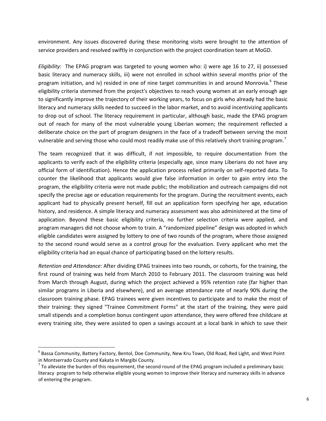environment. Any issues discovered during these monitoring visits were brought to the attention of service providers and resolved swiftly in conjunction with the project coordination team at MoGD.

*Eligibility*: The EPAG program was targeted to young women who: i) were age 16 to 27, ii) possessed basic literacy and numeracy skills, iii) were not enrolled in school within several months prior of the program initiation, and iv) resided in one of nine target communities in and around Monrovia.<sup>[6](#page-7-0)</sup> These eligibility criteria stemmed from the project's objectives to reach young women at an early enough age to significantly improve the trajectory of their working years, to focus on girls who already had the basic literacy and numeracy skills needed to succeed in the labor market, and to avoid incentivizing applicants to drop out of school. The literacy requirement in particular, although basic, made the EPAG program out of reach for many of the most vulnerable young Liberian women; the requirement reflected a deliberate choice on the part of program designers in the face of a tradeoff between serving the most vulnerable and serving those who could most readily make use of this relatively short training program.<sup>[7](#page-7-1)</sup>

The team recognized that it was difficult, if not impossible, to require documentation from the applicants to verify each of the eligibility criteria (especially age, since many Liberians do not have any official form of identification). Hence the application process relied primarily on self-reported data. To counter the likelihood that applicants would give false information in order to gain entry into the program, the eligibility criteria were not made public; the mobilization and outreach campaigns did not specify the precise age or education requirements for the program. During the recruitment events, each applicant had to physically present herself, fill out an application form specifying her age, education history, and residence. A simple literacy and numeracy assessment was also administered at the time of application. Beyond these basic eligibility criteria, no further selection criteria were applied, and program managers did not choose whom to train. A "randomized pipeline" design was adopted in which eligible candidates were assigned by lottery to one of two rounds of the program, where those assigned to the second round would serve as a control group for the evaluation. Every applicant who met the eligibility criteria had an equal chance of participating based on the lottery results.

*Retention and Attendance*: After dividing EPAG trainees into two rounds, or cohorts, for the training, the first round of training was held from March 2010 to February 2011. The classroom training was held from March through August, during which the project achieved a 95% retention rate (far higher than similar programs in Liberia and elsewhere), and an average attendance rate of nearly 90% during the classroom training phase. EPAG trainees were given incentives to participate and to make the most of their training: they signed "Trainee Commitment Forms" at the start of the training, they were paid small stipends and a completion bonus contingent upon attendance, they were offered free childcare at every training site, they were assisted to open a savings account at a local bank in which to save their

 $\overline{\phantom{a}}$ 

<span id="page-7-0"></span> $6$  Bassa Community, Battery Factory, Bentol, Doe Community, New Kru Town, Old Road, Red Light, and West Point in Montserrado County and Kakata in Margibi County.

<span id="page-7-1"></span> $\sigma$  To alleviate the burden of this requirement, the second round of the EPAG program included a preliminary basic literacy program to help otherwise eligible young women to improve their literacy and numeracy skills in advance of entering the program.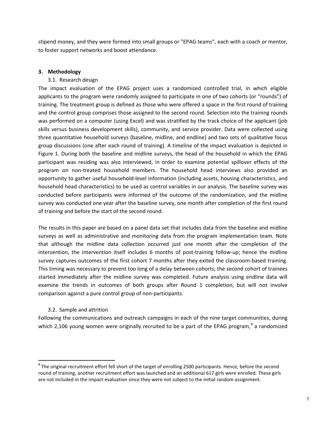stipend money, and they were formed into small groups or "EPAG teams", each with a coach or mentor, to foster support networks and boost attendance.

# **3. Methodology**

# 3.1. Research design

The impact evaluation of the EPAG project uses a randomized controlled trial, in which eligible applicants to the program were randomly assigned to participate in one of two cohorts (or "rounds") of training. The treatment group is defined as those who were offered a space in the first round of training and the control group comprises those assigned to the second round. Selection into the training rounds was performed on a computer (using Excel) and was stratified by the track choice of the applicant (job skills versus business development skills), community, and service provider. Data were collected using three quantitative household surveys (baseline, midline, and endline) and two sets of qualitative focus group discussions (one after each round of training). A timeline of the impact evaluation is depicted in Figure 1. During both the baseline and midline surveys, the head of the household in which the EPAG participant was residing was also interviewed, in order to examine potential spillover effects of the program on non-treated household members. The household head interviews also provided an opportunity to gather useful household-level information (including assets, housing characteristics, and household head characteristics) to be used as control variables in our analysis. The baseline survey was conducted before participants were informed of the outcome of the randomization, and the midline survey was conducted one year after the baseline survey, one month after completion of the first round of training and before the start of the second round.

The results in this paper are based on a panel data set that includes data from the baseline and midline surveys as well as administrative and monitoring data from the program implementation team. Note that although the midline data collection occurred just one month after the completion of the intervention, the intervention itself includes 6 months of post-training follow-up; hence the midline survey captures outcomes of the first cohort 7 months after they exited the classroom-based training. This timing was necessary to prevent too long of a delay between cohorts; the second cohort of trainees started immediately after the midline survey was completed. Future analysis using endline data will examine the trends in outcomes of both groups after Round 1 completion, but will not involve comparison against a pure control group of non-participants.

# 3.2. Sample and attrition

l

Following the communications and outreach campaigns in each of the nine target communities, during which 2,106 young women were originally recruited to be a part of the EPAG program, $^8$  $^8$  a randomized

<span id="page-8-0"></span> $8$  The original recruitment effort fell short of the target of enrolling 2500 participants. Hence, before the second round of training, another recruitment effort was launched and an additional 617 girls were enrolled. These girls are not included in the impact evaluation since they were not subject to the initial random assignment.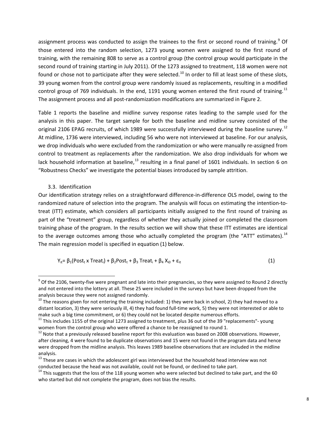assignment process was conducted to assign the trainees to the first or second round of training.<sup>[9](#page-9-0)</sup> Of those entered into the random selection, 1273 young women were assigned to the first round of training, with the remaining 808 to serve as a control group (the control group would participate in the second round of training starting in July 2011). Of the 1273 assigned to treatment, 118 women were not found or chose not to participate after they were selected.<sup>[10](#page-9-1)</sup> In order to fill at least some of these slots, 39 young women from the control group were randomly issued as replacements, resulting in a modified control group of 769 individuals. In the end, [11](#page-9-2)91 young women entered the first round of training.<sup>11</sup> The assignment process and all post-randomization modifications are summarized in Figure 2.

Table 1 reports the baseline and midline survey response rates leading to the sample used for the analysis in this paper. The target sample for both the baseline and midline survey consisted of the original 2106 EPAG recruits, of which 1989 were successfully interviewed during the baseline survey.<sup>[12](#page-9-3)</sup> At midline, 1736 were interviewed, including 56 who were not interviewed at baseline. For our analysis, we drop individuals who were excluded from the randomization or who were manually re-assigned from control to treatment as replacements after the randomization. We also drop individuals for whom we lack household information at baseline, $^{13}$  $^{13}$  $^{13}$  resulting in a final panel of 1601 individuals. In section 6 on "Robustness Checks" we investigate the potential biases introduced by sample attrition.

# 3.3. Identification

 $\overline{\phantom{a}}$ 

Our identification strategy relies on a straightforward difference-in-difference OLS model, owing to the randomized nature of selection into the program. The analysis will focus on estimating the intention-totreat (ITT) estimate, which considers all participants initially assigned to the first round of training as part of the "treatment" group, regardless of whether they actually joined or completed the classroom training phase of the program. In the results section we will show that these ITT estimates are identical to the average outcomes among those who actually completed the program (the "ATT" estimates). $^{14}$  $^{14}$  $^{14}$ The main regression model is specified in equation (1) below.

$$
Y_{it} = \beta_1 (Post_t \times Treat_i) + \beta_2 Post_t + \beta_3 Treat_i + \beta_4 X_{i0} + \varepsilon_{it}
$$
\n(1)

<span id="page-9-0"></span> $9$  Of the 2106, twenty-five were pregnant and late into their pregnancies, so they were assigned to Round 2 directly and not entered into the lottery at all. These 25 were included in the surveys but have been dropped from the analysis because they were not assigned randomly.<br><sup>10</sup> The reasons given for not entering the training included: 1) they were back in school, 2) they had moved to a

<span id="page-9-1"></span>distant location, 3) they were seriously ill, 4) they had found full-time work, 5) they were not interested or able to make such a big time commitment, or 6) they could not be located despite numerous efforts.<br><sup>11</sup> This includes 1155 of the original 1273 assigned to treatment, plus 36 out of the 39 "replacements"- young

<span id="page-9-2"></span>women from the control group who were offered a chance to be reassigned to round 1.

<span id="page-9-3"></span><sup>&</sup>lt;sup>12</sup> Note that a previously released baseline report for this evaluation was based on 2008 observations. However, after cleaning, 4 were found to be duplicate observations and 15 were not found in the program data and hence were dropped from the midline analysis. This leaves 1989 baseline observations that are included in the midline analysis.

<span id="page-9-4"></span><sup>&</sup>lt;sup>13</sup> These are cases in which the adolescent girl was interviewed but the household head interview was not conducted because the head was not available, could not be found, or declined to take part.

<span id="page-9-5"></span><sup>&</sup>lt;sup>14</sup> This suggests that the loss of the 118 young women who were selected but declined to take part, and the 60 who started but did not complete the program, does not bias the results.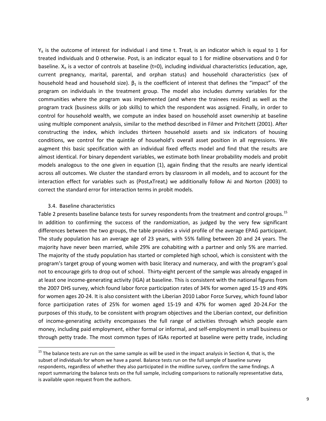$Y_{it}$  is the outcome of interest for individual i and time t. Treat<sub>i</sub> is an indicator which is equal to 1 for treated individuals and 0 otherwise. Post<sub>t</sub> is an indicator equal to 1 for midline observations and 0 for baseline.  $X_{it}$  is a vector of controls at baseline (t=0), including individual characteristics (education, age, current pregnancy, marital, parental, and orphan status) and household characteristics (sex of household head and household size).  $\beta_1$  is the coefficient of interest that defines the "impact" of the program on individuals in the treatment group. The model also includes dummy variables for the communities where the program was implemented (and where the trainees resided) as well as the program track (business skills or job skills) to which the respondent was assigned. Finally, in order to control for household wealth, we compute an index based on household asset ownership at baseline using multiple component analysis, similar to the method described in Filmer and Pritchett (2001). After constructing the index, which includes thirteen household assets and six indicators of housing conditions, we control for the quintile of household's overall asset position in all regressions. We augment this basic specification with an individual fixed effects model and find that the results are almost identical. For binary dependent variables, we estimate both linear probability models and probit models analogous to the one given in equation (1), again finding that the results are nearly identical across all outcomes. We cluster the standard errors by classroom in all models, and to account for the interaction effect for variables such as (Post<sub>t</sub>xTreat<sub>i</sub>) we additionally follow Ai and Norton (2003) to correct the standard error for interaction terms in probit models.

#### 3.4. Baseline characteristics

 $\overline{\phantom{a}}$ 

Table 2 presents baseline balance tests for survey respondents from the treatment and control groups.<sup>[15](#page-10-0)</sup> In addition to confirming the success of the randomization, as judged by the very few significant differences between the two groups, the table provides a vivid profile of the average EPAG participant. The study population has an average age of 23 years, with 55% falling between 20 and 24 years. The majority have never been married, while 29% are cohabiting with a partner and only 5% are married. The majority of the study population has started or completed high school, which is consistent with the program's target group of young women with basic literacy and numeracy, and with the program's goal not to encourage girls to drop out of school. Thirty-eight percent of the sample was already engaged in at least one income-generating activity (IGA) at baseline. This is consistent with the national figures from the 2007 DHS survey, which found labor force participation rates of 34% for women aged 15-19 and 49% for women ages 20-24. It is also consistent with the Liberian 2010 Labor Force Survey, which found labor force participation rates of 25% for women aged 15-19 and 47% for women aged 20-24.For the purposes of this study, to be consistent with program objectives and the Liberian context, our definition of income-generating activity encompasses the full range of activities through which people earn money, including paid employment, either formal or informal, and self-employment in small business or through petty trade. The most common types of IGAs reported at baseline were petty trade, including

<span id="page-10-0"></span> $15$  The balance tests are run on the same sample as will be used in the impact analysis in Section 4, that is, the subset of individuals for whom we have a panel. Balance tests run on the full sample of baseline survey respondents, regardless of whether they also participated in the midline survey, confirm the same findings. A report summarizing the balance tests on the full sample, including comparisons to nationally representative data, is available upon request from the authors.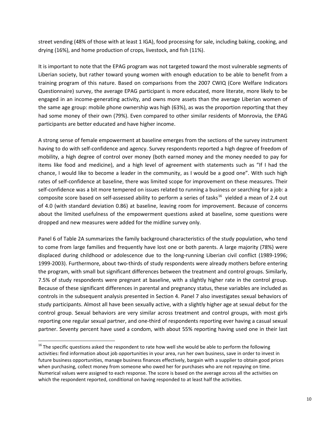street vending (48% of those with at least 1 IGA), food processing for sale, including baking, cooking, and drying (16%), and home production of crops, livestock, and fish (11%).

It is important to note that the EPAG program was not targeted toward the most vulnerable segments of Liberian society, but rather toward young women with enough education to be able to benefit from a training program of this nature. Based on comparisons from the 2007 CWIQ (Core Welfare Indicators Questionnaire) survey, the average EPAG participant is more educated, more literate, more likely to be engaged in an income-generating activity, and owns more assets than the average Liberian women of the same age group: mobile phone ownership was high (63%), as was the proportion reporting that they had some money of their own (79%). Even compared to other similar residents of Monrovia, the EPAG participants are better educated and have higher income.

A strong sense of female empowerment at baseline emerges from the sections of the survey instrument having to do with self-confidence and agency. Survey respondents reported a high degree of freedom of mobility, a high degree of control over money (both earned money and the money needed to pay for items like food and medicine), and a high level of agreement with statements such as "If I had the chance, I would like to become a leader in the community, as I would be a good one". With such high rates of self-confidence at baseline, there was limited scope for improvement on these measures. Their self-confidence was a bit more tempered on issues related to running a business or searching for a job: a composite score based on self-assessed ability to perform a series of tasks<sup>[16](#page-11-0)</sup> yielded a mean of 2.4 out of 4.0 (with standard deviation 0.86) at baseline, leaving room for improvement. Because of concerns about the limited usefulness of the empowerment questions asked at baseline, some questions were dropped and new measures were added for the midline survey only.

Panel 6 of Table 2A summarizes the family background characteristics of the study population, who tend to come from large families and frequently have lost one or both parents. A large majority (78%) were displaced during childhood or adolescence due to the long-running Liberian civil conflict (1989-1996; 1999-2003). Furthermore, about two-thirds of study respondents were already mothers before entering the program, with small but significant differences between the treatment and control groups. Similarly, 7.5% of study respondents were pregnant at baseline, with a slightly higher rate in the control group. Because of these significant differences in parental and pregnancy status, these variables are included as controls in the subsequent analysis presented in Section 4. Panel 7 also investigates sexual behaviors of study participants. Almost all have been sexually active, with a slightly higher age at sexual debut for the control group. Sexual behaviors are very similar across treatment and control groups, with most girls reporting one regular sexual partner, and one-third of respondents reporting ever having a casual sexual partner. Seventy percent have used a condom, with about 55% reporting having used one in their last

 $\overline{\phantom{a}}$ 

<span id="page-11-0"></span><sup>&</sup>lt;sup>16</sup> The specific questions asked the respondent to rate how well she would be able to perform the following activities: find information about job opportunities in your area, run her own business, save in order to invest in future business opportunities, manage business finances effectively, bargain with a supplier to obtain good prices when purchasing, collect money from someone who owed her for purchases who are not repaying on time. Numerical values were assigned to each response. The score is based on the average across all the activities on which the respondent reported, conditional on having responded to at least half the activities.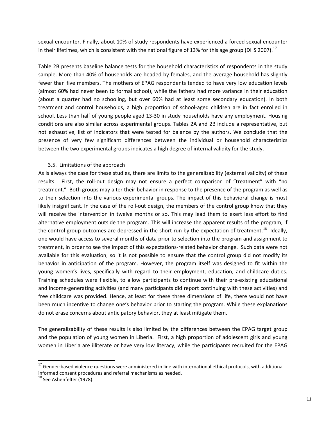sexual encounter. Finally, about 10% of study respondents have experienced a forced sexual encounter in their lifetimes, which is consistent with the national figure of 13% for this age group (DHS 2007).<sup>[17](#page-12-0)</sup>

Table 2B presents baseline balance tests for the household characteristics of respondents in the study sample. More than 40% of households are headed by females, and the average household has slightly fewer than five members. The mothers of EPAG respondents tended to have very low education levels (almost 60% had never been to formal school), while the fathers had more variance in their education (about a quarter had no schooling, but over 60% had at least some secondary education). In both treatment and control households, a high proportion of school-aged children are in fact enrolled in school. Less than half of young people aged 13-30 in study households have any employment. Housing conditions are also similar across experimental groups. Tables 2A and 2B include a representative, but not exhaustive, list of indicators that were tested for balance by the authors. We conclude that the presence of very few significant differences between the individual or household characteristics between the two experimental groups indicates a high degree of internal validity for the study.

# 3.5. Limitations of the approach

As is always the case for these studies, there are limits to the generalizability (external validity) of these results. First, the roll-out design may not ensure a perfect comparison of "treatment" with "no treatment." Both groups may alter their behavior in response to the presence of the program as well as to their selection into the various experimental groups. The impact of this behavioral change is most likely insignificant. In the case of the roll-out design, the members of the control group know that they will receive the intervention in twelve months or so. This may lead them to exert less effort to find alternative employment outside the program. This will increase the apparent results of the program, if the control group outcomes are depressed in the short run by the expectation of treatment.<sup>[18](#page-12-1)</sup> Ideally, one would have access to several months of data prior to selection into the program and assignment to treatment, in order to see the impact of this expectations-related behavior change. Such data were not available for this evaluation, so it is not possible to ensure that the control group did not modify its behavior in anticipation of the program. However, the program itself was designed to fit within the young women's lives, specifically with regard to their employment, education, and childcare duties. Training schedules were flexible, to allow participants to continue with their pre-existing educational and income-generating activities (and many participants did report continuing with these activities) and free childcare was provided. Hence, at least for these three dimensions of life, there would not have been much incentive to change one's behavior prior to starting the program. While these explanations do not erase concerns about anticipatory behavior, they at least mitigate them.

The generalizability of these results is also limited by the differences between the EPAG target group and the population of young women in Liberia. First, a high proportion of adolescent girls and young women in Liberia are illiterate or have very low literacy, while the participants recruited for the EPAG

l

<span id="page-12-0"></span> $17$  Gender-based violence questions were administered in line with international ethical protocols, with additional informed consent procedures and referral mechanisms as needed.

<span id="page-12-1"></span> $^{18}$  See Ashenfelter (1978).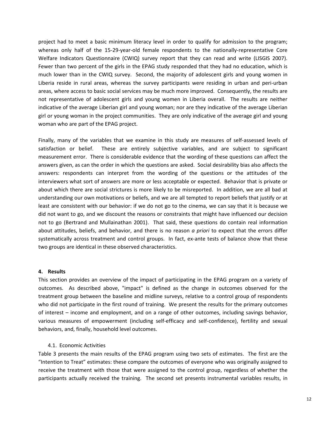project had to meet a basic minimum literacy level in order to qualify for admission to the program; whereas only half of the 15-29-year-old female respondents to the nationally-representative Core Welfare Indicators Questionnaire (CWIQ) survey report that they can read and write (LISGIS 2007). Fewer than two percent of the girls in the EPAG study responded that they had no education, which is much lower than in the CWIQ survey. Second, the majority of adolescent girls and young women in Liberia reside in rural areas, whereas the survey participants were residing in urban and peri-urban areas, where access to basic social services may be much more improved. Consequently, the results are not representative of adolescent girls and young women in Liberia overall. The results are neither indicative of the average Liberian girl and young woman; nor are they indicative of the average Liberian girl or young woman in the project communities. They are only indicative of the average girl and young woman who are part of the EPAG project.

Finally, many of the variables that we examine in this study are measures of self-assessed levels of satisfaction or belief. These are entirely subjective variables, and are subject to significant measurement error. There is considerable evidence that the wording of these questions can affect the answers given, as can the order in which the questions are asked. Social desirability bias also affects the answers: respondents can interpret from the wording of the questions or the attitudes of the interviewers what sort of answers are more or less acceptable or expected. Behavior that is private or about which there are social strictures is more likely to be misreported. In addition, we are all bad at understanding our own motivations or beliefs, and we are all tempted to report beliefs that justify or at least are consistent with our behavior: if we do not go to the cinema, we can say that it is because we did not want to go, and we discount the reasons or constraints that might have influenced our decision not to go (Bertrand and Mullainathan 2001). That said, these questions do contain real information about attitudes, beliefs, and behavior, and there is no reason *a priori* to expect that the errors differ systematically across treatment and control groups. In fact, ex-ante tests of balance show that these two groups are identical in these observed characteristics.

# **4. Results**

This section provides an overview of the impact of participating in the EPAG program on a variety of outcomes. As described above, "impact" is defined as the change in outcomes observed for the treatment group between the baseline and midline surveys, relative to a control group of respondents who did not participate in the first round of training. We present the results for the primary outcomes of interest – income and employment, and on a range of other outcomes, including savings behavior, various measures of empowerment (including self-efficacy and self-confidence), fertility and sexual behaviors, and, finally, household level outcomes.

#### 4.1. Economic Activities

Table 3 presents the main results of the EPAG program using two sets of estimates. The first are the "Intention to Treat" estimates: these compare the outcomes of everyone who was originally assigned to receive the treatment with those that were assigned to the control group, regardless of whether the participants actually received the training. The second set presents instrumental variables results, in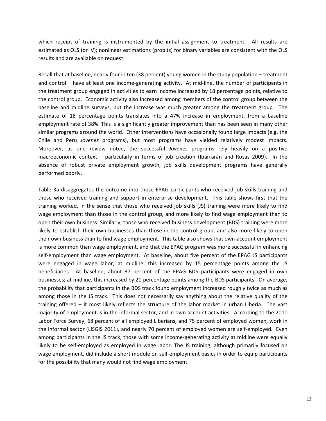which receipt of training is instrumented by the initial assignment to treatment. All results are estimated as OLS (or IV); nonlinear estimations (probits) for binary variables are consistent with the OLS results and are available on request.

Recall that at baseline, nearly four in ten (38 percent) young women in the study population – treatment and control – have at least one income-generating activity. At mid-line, the number of participants in the treatment group engaged in activities to earn income increased by 18 percentage points, relative to the control group. Economic activity also increased among members of the control group between the baseline and midline surveys, but the increase was much greater among the treatment group. The estimate of 18 percentage points translates into a 47% increase in employment, from a baseline employment rate of 38%. This is a significantly greater improvement than has been seen in many other similar programs around the world. Other interventions have occasionally found large impacts (e.g. the Chile and Peru *Jovenes* programs), but most programs have yielded relatively modest impacts. Moreover, as one review noted, the successful *Jovenes* programs rely heavily on a positive macroeconomic context – particularly in terms of job creation (Ibarrarán and Rosas 2009). In the absence of robust private employment growth, job skills development programs have generally performed poorly.

Table 3a disaggregates the outcome into those EPAG participants who received job skills training and those who received training and support in enterprise development. This table shows first that the training worked, in the sense that those who received job skills (JS) training were more likely to find wage employment than those in the control group, and more likely to find wage employment than to open their own business. Similarly, those who received business development (BDS) training were more likely to establish their own businesses than those in the control group, and also more likely to open their own business than to find wage employment. This table also shows that own-account employment is more common than wage employment, and that the EPAG program was more successful in enhancing self-employment than wage employment. At baseline, about five percent of the EPAG JS participants were engaged in wage labor; at midline, this increased by 15 percentage points among the JS beneficiaries. At baseline, about 37 percent of the EPAG BDS participants were engaged in own businesses; at midline, this increased by 20 percentage points among the BDS participants. On average, the probability that participants in the BDS track found employment increased roughly twice as much as among those in the JS track. This does not necessarily say anything about the relative quality of the training offered – it most likely reflects the structure of the labor market in urban Liberia. The vast majority of employment is in the informal sector, and in own-account activities. According to the 2010 Labor Force Survey, 68 percent of all employed Liberians, and 75 percent of employed women, work in the informal sector (LISGIS 2011), and nearly 70 percent of employed women are self-employed. Even among participants in the JS track, those with some income-generating activity at midline were equally likely to be self-employed as employed in wage labor. The JS training, although primarily focused on wage employment, did include a short module on self-employment basics in order to equip participants for the possibility that many would not find wage employment.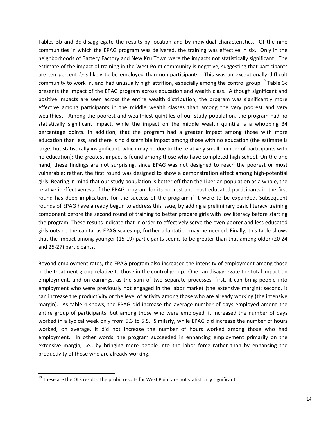Tables 3b and 3c disaggregate the results by location and by individual characteristics. Of the nine communities in which the EPAG program was delivered, the training was effective in six. Only in the neighborhoods of Battery Factory and New Kru Town were the impacts not statistically significant. The estimate of the impact of training in the West Point community is negative, suggesting that participants are ten percent *less* likely to be employed than non-participants. This was an exceptionally difficult community to work in, and had unusually high attrition, especially among the control group.<sup>[19](#page-15-0)</sup> Table 3c presents the impact of the EPAG program across education and wealth class. Although significant and positive impacts are seen across the entire wealth distribution, the program was significantly more effective among participants in the middle wealth classes than among the very poorest and very wealthiest. Among the poorest and wealthiest quintiles of our study population, the program had no statistically significant impact, while the impact on the middle wealth quintile is a whopping 34 percentage points. In addition, that the program had a greater impact among those with more education than less, and there is no discernible impact among those with no education (the estimate is large, but statistically insignificant, which may be due to the relatively small number of participants with no education); the greatest impact is found among those who have completed high school. On the one hand, these findings are not surprising, since EPAG was not designed to reach the poorest or most vulnerable; rather, the first round was designed to show a demonstration effect among high-potential girls. Bearing in mind that our study population is better off than the Liberian population as a whole, the relative ineffectiveness of the EPAG program for its poorest and least educated participants in the first round has deep implications for the success of the program if it were to be expanded. Subsequent rounds of EPAG have already begun to address this issue, by adding a preliminary basic literacy training component before the second round of training to better prepare girls with low literacy before starting the program. These results indicate that in order to effectively serve the even poorer and less educated girls outside the capital as EPAG scales up, further adaptation may be needed. Finally, this table shows that the impact among younger (15-19) participants seems to be greater than that among older (20-24 and 25-27) participants.

Beyond employment rates, the EPAG program also increased the intensity of employment among those in the treatment group relative to those in the control group. One can disaggregate the total impact on employment, and on earnings, as the sum of two separate processes: first, it can bring people into employment who were previously not engaged in the labor market (the extensive margin); second, it can increase the productivity or the level of activity among those who are already working (the intensive margin). As table 4 shows, the EPAG did increase the average number of days employed among the entire group of participants, but among those who were employed, it increased the number of days worked in a typical week only from 5.3 to 5.5. Similarly, while EPAG did increase the number of hours worked, on average, it did not increase the number of hours worked among those who had employment. In other words, the program succeeded in enhancing employment primarily on the extensive margin, i.e., by bringing more people into the labor force rather than by enhancing the productivity of those who are already working.

l

<span id="page-15-0"></span> $19$  These are the OLS results; the probit results for West Point are not statistically significant.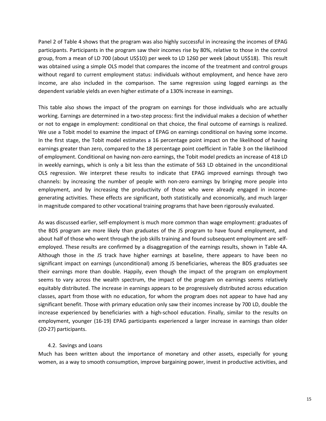Panel 2 of Table 4 shows that the program was also highly successful in increasing the incomes of EPAG participants. Participants in the program saw their incomes rise by 80%, relative to those in the control group, from a mean of LD 700 (about US\$10) per week to LD 1260 per week (about US\$18). This result was obtained using a simple OLS model that compares the income of the treatment and control groups without regard to current employment status: individuals without employment, and hence have zero income, are also included in the comparison. The same regression using logged earnings as the dependent variable yields an even higher estimate of a 130% increase in earnings.

This table also shows the impact of the program on earnings for those individuals who are actually working. Earnings are determined in a two-step process: first the individual makes a decision of whether or not to engage in employment: conditional on that choice, the final outcome of earnings is realized. We use a Tobit model to examine the impact of EPAG on earnings conditional on having some income. In the first stage, the Tobit model estimates a 16 percentage point impact on the likelihood of having earnings greater than zero, compared to the 18 percentage point coefficient in Table 3 on the likelihood of employment. Conditional on having non-zero earnings, the Tobit model predicts an increase of 418 LD in weekly earnings, which is only a bit less than the estimate of 563 LD obtained in the unconditional OLS regression. We interpret these results to indicate that EPAG improved earnings through two channels: by increasing the number of people with non-zero earnings by bringing more people into employment, and by increasing the productivity of those who were already engaged in incomegenerating activities. These effects are significant, both statistically and economically, and much larger in magnitude compared to other vocational training programs that have been rigorously evaluated.

As was discussed earlier, self-employment is much more common than wage employment: graduates of the BDS program are more likely than graduates of the JS program to have found employment, and about half of those who went through the job skills training and found subsequent employment are selfemployed. These results are confirmed by a disaggregation of the earnings results, shown in Table 4A. Although those in the JS track have higher earnings at baseline, there appears to have been no significant impact on earnings (unconditional) among JS beneficiaries, whereas the BDS graduates see their earnings more than double. Happily, even though the impact of the program on employment seems to vary across the wealth spectrum, the impact of the program on earnings seems relatively equitably distributed. The increase in earnings appears to be progressively distributed across education classes, apart from those with no education, for whom the program does not appear to have had any significant benefit. Those with primary education only saw their incomes increase by 700 LD, double the increase experienced by beneficiaries with a high-school education. Finally, similar to the results on employment, younger (16-19) EPAG participants experienced a larger increase in earnings than older (20-27) participants.

# 4.2. Savings and Loans

Much has been written about the importance of monetary and other assets, especially for young women, as a way to smooth consumption, improve bargaining power, invest in productive activities, and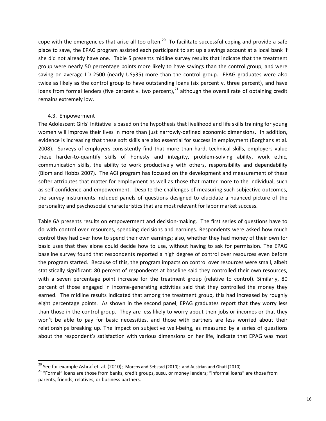cope with the emergencies that arise all too often.<sup>[20](#page-17-0)</sup> To facilitate successful coping and provide a safe place to save, the EPAG program assisted each participant to set up a savings account at a local bank if she did not already have one. Table 5 presents midline survey results that indicate that the treatment group were nearly 50 percentage points more likely to have savings than the control group, and were saving on average LD 2500 (nearly US\$35) more than the control group. EPAG graduates were also twice as likely as the control group to have outstanding loans (six percent v. three percent), and have loans from formal lenders (five percent v. two percent),  $^{21}$  $^{21}$  $^{21}$  although the overall rate of obtaining credit remains extremely low.

# 4.3. Empowerment

The Adolescent Girls' Initiative is based on the hypothesis that livelihood and life skills training for young women will improve their lives in more than just narrowly-defined economic dimensions. In addition, evidence is increasing that these soft skills are also essential for success in employment (Borghans et al. 2008). Surveys of employers consistently find that more than hard, technical skills, employers value these harder-to-quantify skills of honesty and integrity, problem-solving ability, work ethic, communication skills, the ability to work productively with others, responsibility and dependability (Blom and Hobbs 2007). The AGI program has focused on the development and measurement of these softer attributes that matter for employment as well as those that matter more to the individual, such as self-confidence and empowerment. Despite the challenges of measuring such subjective outcomes, the survey instruments included panels of questions designed to elucidate a nuanced picture of the personality and psychosocial characteristics that are most relevant for labor market success.

Table 6A presents results on empowerment and decision-making. The first series of questions have to do with control over resources, spending decisions and earnings. Respondents were asked how much control they had over how to spend their own earnings; also, whether they had money of their own for basic uses that they alone could decide how to use, without having to ask for permission. The EPAG baseline survey found that respondents reported a high degree of control over resources even before the program started. Because of this, the program impacts on control over resources were small, albeit statistically significant: 80 percent of respondents at baseline said they controlled their own resources, with a seven percentage point increase for the treatment group (relative to control). Similarly, 80 percent of those engaged in income-generating activities said that they controlled the money they earned. The midline results indicated that among the treatment group, this had increased by roughly eight percentage points. As shown in the second panel, EPAG graduates report that they worry less than those in the control group. They are less likely to worry about their jobs or incomes or that they won't be able to pay for basic necessities, and those with partners are less worried about their relationships breaking up. The impact on subjective well-being, as measured by a series of questions about the respondent's satisfaction with various dimensions on her life, indicate that EPAG was most

<span id="page-17-0"></span><sup>&</sup>lt;sup>20</sup> See for example Ashraf et. al. (2010); Morcos and Sebstad (2010); and Austrian and Ghati (2010).

<span id="page-17-1"></span><sup>&</sup>lt;sup>21</sup> "Formal" loans are those from banks, credit groups, susu, or money lenders; "informal loans" are those from parents, friends, relatives, or business partners.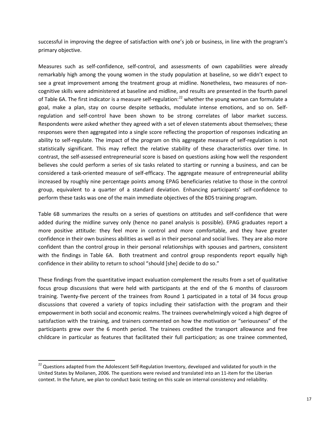successful in improving the degree of satisfaction with one's job or business, in line with the program's primary objective.

Measures such as self-confidence, self-control, and assessments of own capabilities were already remarkably high among the young women in the study population at baseline, so we didn't expect to see a great improvement among the treatment group at midline. Nonetheless, two measures of noncognitive skills were administered at baseline and midline, and results are presented in the fourth panel of Table 6A. The first indicator is a measure self-regulation:<sup>[22](#page-18-0)</sup> whether the young woman can formulate a goal, make a plan, stay on course despite setbacks, modulate intense emotions, and so on. Selfregulation and self-control have been shown to be strong correlates of labor market success. Respondents were asked whether they agreed with a set of eleven statements about themselves; these responses were then aggregated into a single score reflecting the proportion of responses indicating an ability to self-regulate. The impact of the program on this aggregate measure of self-regulation is not statistically significant. This may reflect the relative stability of these characteristics over time. In contrast, the self-assessed entrepreneurial score is based on questions asking how well the respondent believes she could perform a series of six tasks related to starting or running a business, and can be considered a task-oriented measure of self-efficacy. The aggregate measure of entrepreneurial ability increased by roughly nine percentage points among EPAG beneficiaries relative to those in the control group, equivalent to a quarter of a standard deviation. Enhancing participants' self-confidence to perform these tasks was one of the main immediate objectives of the BDS training program.

Table 6B summarizes the results on a series of questions on attitudes and self-confidence that were added during the midline survey only (hence no panel analysis is possible). EPAG graduates report a more positive attitude: they feel more in control and more comfortable, and they have greater confidence in their own business abilities as well as in their personal and social lives. They are also more confident than the control group in their personal relationships with spouses and partners, consistent with the findings in Table 6A. Both treatment and control group respondents report equally high confidence in their ability to return to school "should [she] decide to do so."

These findings from the quantitative impact evaluation complement the results from a set of qualitative focus group discussions that were held with participants at the end of the 6 months of classroom training. Twenty-five percent of the trainees from Round 1 participated in a total of 34 focus group discussions that covered a variety of topics including their satisfaction with the program and their empowerment in both social and economic realms. The trainees overwhelmingly voiced a high degree of satisfaction with the training, and trainers commented on how the motivation or "seriousness" of the participants grew over the 6 month period. The trainees credited the transport allowance and free childcare in particular as features that facilitated their full participation; as one trainee commented,

l

<span id="page-18-0"></span> $^{22}$  Questions adapted from the Adolescent Self-Regulation Inventory, developed and validated for youth in the United States by Moilanen, 2006. The questions were revised and translated into an 11-item for the Liberian context. In the future, we plan to conduct basic testing on this scale on internal consistency and reliability.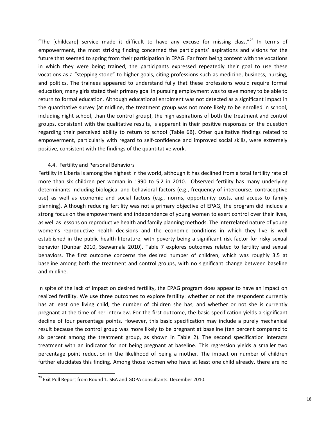"The [childcare] service made it difficult to have any excuse for missing class."<sup>[23](#page-19-0)</sup> In terms of empowerment, the most striking finding concerned the participants' aspirations and visions for the future that seemed to spring from their participation in EPAG. Far from being content with the vocations in which they were being trained, the participants expressed repeatedly their goal to use these vocations as a "stepping stone" to higher goals, citing professions such as medicine, business, nursing, and politics. The trainees appeared to understand fully that these professions would require formal education; many girls stated their primary goal in pursuing employment was to save money to be able to return to formal education. Although educational enrolment was not detected as a significant impact in the quantitative survey (at midline, the treatment group was not more likely to be enrolled in school, including night school, than the control group), the high aspirations of both the treatment and control groups, consistent with the qualitative results, is apparent in their positive responses on the question regarding their perceived ability to return to school (Table 6B). Other qualitative findings related to empowerment, particularly with regard to self-confidence and improved social skills, were extremely positive, consistent with the findings of the quantitative work.

# 4.4. Fertility and Personal Behaviors

Fertility in Liberia is among the highest in the world, although it has declined from a total fertility rate of more than six children per woman in 1990 to 5.2 in 2010. Observed fertility has many underlying determinants including biological and behavioral factors (e.g., frequency of intercourse, contraceptive use) as well as economic and social factors (e.g., norms, opportunity costs, and access to family planning). Although reducing fertility was not a primary objective of EPAG, the program did include a strong focus on the empowerment and independence of young women to exert control over their lives, as well as lessons on reproductive health and family planning methods. The interrelated nature of young women's reproductive health decisions and the economic conditions in which they live is well established in the public health literature, with poverty being a significant risk factor for risky sexual behavior (Dunbar 2010, Ssewamala 2010). Table 7 explores outcomes related to fertility and sexual behaviors. The first outcome concerns the desired number of children, which was roughly 3.5 at baseline among both the treatment and control groups, with no significant change between baseline and midline.

In spite of the lack of impact on desired fertility, the EPAG program does appear to have an impact on realized fertility. We use three outcomes to explore fertility: whether or not the respondent currently has at least one living child, the number of children she has, and whether or not she is currently pregnant at the time of her interview. For the first outcome, the basic specification yields a significant decline of four percentage points. However, this basic specification may include a purely mechanical result because the control group was more likely to be pregnant at baseline (ten percent compared to six percent among the treatment group, as shown in Table 2). The second specification interacts treatment with an indicator for not being pregnant at baseline. This regression yields a smaller two percentage point reduction in the likelihood of being a mother. The impact on number of children further elucidates this finding. Among those women who have at least one child already, there are no

l

<span id="page-19-0"></span><sup>&</sup>lt;sup>23</sup> Exit Poll Report from Round 1. SBA and GOPA consultants. December 2010.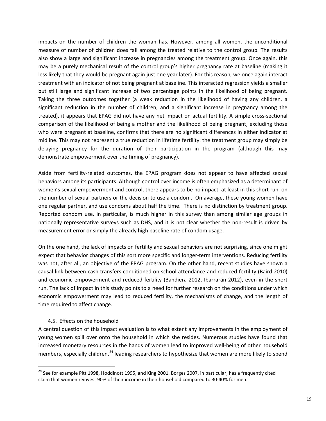impacts on the number of children the woman has. However, among all women, the unconditional measure of number of children does fall among the treated relative to the control group. The results also show a large and significant increase in pregnancies among the treatment group. Once again, this may be a purely mechanical result of the control group's higher pregnancy rate at baseline (making it less likely that they would be pregnant again just one year later). For this reason, we once again interact treatment with an indicator of not being pregnant at baseline. This interacted regression yields a smaller but still large and significant increase of two percentage points in the likelihood of being pregnant. Taking the three outcomes together (a weak reduction in the likelihood of having any children, a significant reduction in the number of children, and a significant increase in pregnancy among the treated), it appears that EPAG did not have any net impact on actual fertility. A simple cross-sectional comparison of the likelihood of being a mother and the likelihood of being pregnant, excluding those who were pregnant at baseline, confirms that there are no significant differences in either indicator at midline. This may not represent a true reduction in lifetime fertility: the treatment group may simply be delaying pregnancy for the duration of their participation in the program (although this may demonstrate empowerment over the timing of pregnancy).

Aside from fertility-related outcomes, the EPAG program does not appear to have affected sexual behaviors among its participants. Although control over income is often emphasized as a determinant of women's sexual empowerment and control, there appears to be no impact, at least in this short run, on the number of sexual partners or the decision to use a condom. On average, these young women have one regular partner, and use condoms about half the time. There is no distinction by treatment group. Reported condom use, in particular, is much higher in this survey than among similar age groups in nationally representative surveys such as DHS, and it is not clear whether the non-result is driven by measurement error or simply the already high baseline rate of condom usage.

On the one hand, the lack of impacts on fertility and sexual behaviors are not surprising, since one might expect that behavior changes of this sort more specific and longer-term interventions. Reducing fertility was not, after all, an objective of the EPAG program. On the other hand, recent studies have shown a causal link between cash transfers conditioned on school attendance and reduced fertility (Baird 2010) and economic empowerment and reduced fertility (Bandiera 2012, Ibarrarán 2012), even in the short run. The lack of impact in this study points to a need for further research on the conditions under which economic empowerment may lead to reduced fertility, the mechanisms of change, and the length of time required to affect change.

# 4.5. Effects on the household

 $\overline{\phantom{a}}$ 

A central question of this impact evaluation is to what extent any improvements in the employment of young women spill over onto the household in which she resides. Numerous studies have found that increased monetary resources in the hands of women lead to improved well-being of other household members, especially children,<sup>[24](#page-20-0)</sup> leading researchers to hypothesize that women are more likely to spend

<span id="page-20-0"></span> $^{24}$  See for example Pitt 1998, Hoddinott 1995, and King 2001. Borges 2007, in particular, has a frequently cited claim that women reinvest 90% of their income in their household compared to 30-40% for men.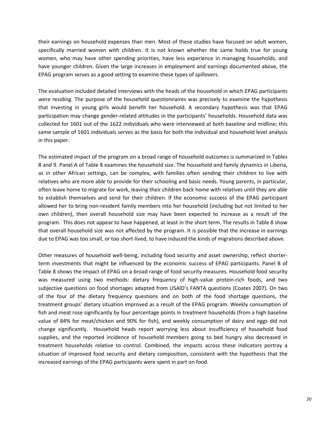their earnings on household expenses than men. Most of these studies have focused on adult women, specifically married women with children. It is not known whether the same holds true for young women, who may have other spending priorities, have less experience in managing households, and have younger children. Given the large increases in employment and earnings documented above, the EPAG program serves as a good setting to examine these types of spillovers.

The evaluation included detailed interviews with the heads of the household in which EPAG participants were residing. The purpose of the household questionnaires was precisely to examine the hypothesis that investing in young girls would benefit her household. A secondary hypothesis was that EPAG participation may change gender-related attitudes in the participants' households. Household data was collected for 1601 out of the 1622 individuals who were interviewed at both baseline and midline; this same sample of 1601 individuals serves as the basis for both the individual and household level analysis in this paper.

The estimated impact of the program on a broad range of household outcomes is summarized in Tables 8 and 9. Panel A of Table 8 examines the household size. The household and family dynamics in Liberia, as in other African settings, can be complex, with families often sending their children to live with relatives who are more able to provide for their schooling and basic needs. Young parents, in particular, often leave home to migrate for work, leaving their children back home with relatives until they are able to establish themselves and send for their children. If the economic success of the EPAG participant allowed her to bring non-resident family members into her household (including but not limited to her own children), then overall household size may have been expected to increase as a result of the program. This does not appear to have happened, at least in the short term. The results in Table 8 show that overall household size was not affected by the program. It is possible that the increase in earnings due to EPAG was too small, or too short-lived, to have induced the kinds of migrations described above.

Other measures of household well-being, including food security and asset ownership, reflect shorterterm investments that might be influenced by the economic success of EPAG participants. Panel B of Table 8 shows the impact of EPAG on a broad range of food security measures. Household food security was measured using two methods: dietary frequency of high-value protein-rich foods, and two subjective questions on food shortages adapted from USAID's FANTA questions (Coates 2007). On two of the four of the dietary frequency questions and on both of the food shortage questions, the treatment groups' dietary situation improved as a result of the EPAG program. Weekly consumption of fish and meat rose significantly by four percentage points in treatment households (from a high baseline value of 84% for meat/chicken and 90% for fish), and weekly consumption of dairy and eggs did not change significantly. Household heads report worrying less about insufficiency of household food supplies, and the reported incidence of household members going to bed hungry also decreased in treatment households relative to control. Combined, the impacts across these indicators portray a situation of improved food security and dietary composition, consistent with the hypothesis that the increased earnings of the EPAG participants were spent in part on food.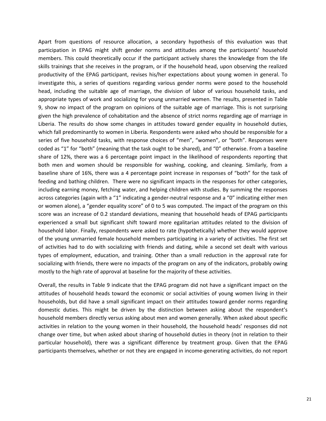Apart from questions of resource allocation, a secondary hypothesis of this evaluation was that participation in EPAG might shift gender norms and attitudes among the participants' household members. This could theoretically occur if the participant actively shares the knowledge from the life skills trainings that she receives in the program, or if the household head, upon observing the realized productivity of the EPAG participant, revises his/her expectations about young women in general. To investigate this, a series of questions regarding various gender norms were posed to the household head, including the suitable age of marriage, the division of labor of various household tasks, and appropriate types of work and socializing for young unmarried women. The results, presented in Table 9, show no impact of the program on opinions of the suitable age of marriage. This is not surprising given the high prevalence of cohabitation and the absence of strict norms regarding age of marriage in Liberia. The results do show some changes in attitudes toward gender equality in household duties, which fall predominantly to women in Liberia. Respondents were asked who should be responsible for a series of five household tasks, with response choices of "men", "women", or "both". Responses were coded as "1" for "both" (meaning that the task ought to be shared), and "0" otherwise. From a baseline share of 12%, there was a 6 percentage point impact in the likelihood of respondents reporting that both men and women should be responsible for washing, cooking, and cleaning. Similarly, from a baseline share of 16%, there was a 4 percentage point increase in responses of "both" for the task of feeding and bathing children. There were no significant impacts in the responses for other categories, including earning money, fetching water, and helping children with studies. By summing the responses across categories (again with a "1" indicating a gender-neutral response and a "0" indicating either men or women alone), a "gender equality score" of 0 to 5 was computed. The impact of the program on this score was an increase of 0.2 standard deviations, meaning that household heads of EPAG participants experienced a small but significant shift toward more egalitarian attitudes related to the division of household labor. Finally, respondents were asked to rate (hypothetically) whether they would approve of the young unmarried female household members participating in a variety of activities. The first set of activities had to do with socializing with friends and dating, while a second set dealt with various types of employment, education, and training. Other than a small reduction in the approval rate for socializing with friends, there were no impacts of the program on any of the indicators, probably owing mostly to the high rate of approval at baseline for the majority of these activities.

Overall, the results in Table 9 indicate that the EPAG program did not have a significant impact on the attitudes of household heads toward the economic or social activities of young women living in their households, but did have a small significant impact on their attitudes toward gender norms regarding domestic duties. This might be driven by the distinction between asking about the respondent's household members directly versus asking about men and women generally. When asked about specific activities in relation to the young women in their household, the household heads' responses did not change over time, but when asked about sharing of household duties in theory (not in relation to their particular household), there was a significant difference by treatment group. Given that the EPAG participants themselves, whether or not they are engaged in income-generating activities, do not report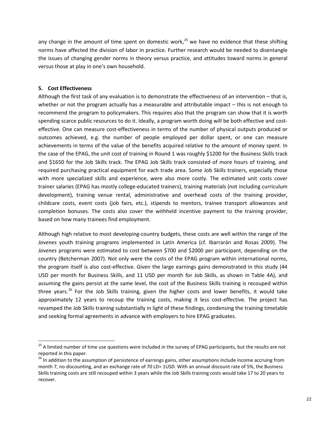any change in the amount of time spent on domestic work,<sup>[25](#page-23-0)</sup> we have no evidence that these shifting norms have affected the division of labor in practice. Further research would be needed to disentangle the issues of changing gender norms in theory versus practice, and attitudes toward norms in general versus those at play in one's own household.

# **5. Cost Effectiveness**

 $\overline{\phantom{a}}$ 

Although the first task of any evaluation is to demonstrate the effectiveness of an intervention – that is, whether or not the program actually has a measurable and attributable impact – this is not enough to recommend the program to policymakers. This requires also that the program can show that it is worth spending scarce public resources to do it. Ideally, a program worth doing will be both effective and costeffective. One can measure cost-effectiveness in terms of the number of physical outputs produced or outcomes achieved, e.g. the number of people employed per dollar spent, or one can measure achievements in terms of the value of the benefits acquired relative to the amount of money spent. In the case of the EPAG, the unit cost of training in Round 1 was roughly \$1200 for the Business Skills track and \$1650 for the Job Skills track. The EPAG Job Skills track consisted of more hours of training, and required purchasing practical equipment for each trade area. Some Job Skills trainers, especially those with more specialized skills and experience, were also more costly. The estimated unit costs cover trainer salaries (EPAG has mostly college-educated trainers), training materials (not including curriculum development), training venue rental, administrative and overhead costs of the training provider, childcare costs, event costs (job fairs, etc.), stipends to mentors, trainee transport allowances and completion bonuses. The costs also cover the withheld incentive payment to the training provider, based on how many trainees find employment.

Although high relative to most developing-country budgets, these costs are well within the range of the *Jovenes* youth training programs implemented in Latin America (cf. Ibarrarán and Rosas 2009). The *Jovenes* programs were estimated to cost between \$700 and \$2000 per participant, depending on the country (Betcherman 2007). Not only were the costs of the EPAG program within international norms, the program itself is also cost-effective. Given the large earnings gains demonstrated in this study (44 USD per month for Business Skills, and 11 USD per month for Job Skills, as shown in Table 4A), and assuming the gains persist at the same level, the cost of the Business Skills training is recouped within three vears.<sup>[26](#page-23-1)</sup> For the Job Skills training, given the higher costs and lower benefits, it would take approximately 12 years to recoup the training costs, making it less cost-effective. The project has revamped the Job Skills training substantially in light of these findings, condensing the training timetable and seeking formal agreements in advance with employers to hire EPAG graduates.

<span id="page-23-0"></span><sup>&</sup>lt;sup>25</sup> A limited number of time use questions were included in the survey of EPAG participants, but the results are not reported in this paper.

<span id="page-23-1"></span><sup>&</sup>lt;sup>26</sup> In addition to the assumption of persistence of earnings gains, other assumptions include income accruing from month 7, no discounting, and an exchange rate of 70 LD= 1USD. With an annual discount rate of 5%, the Business Skills training costs are still recouped within 3 years while the Job Skills training costs would take 17 to 20 years to recover.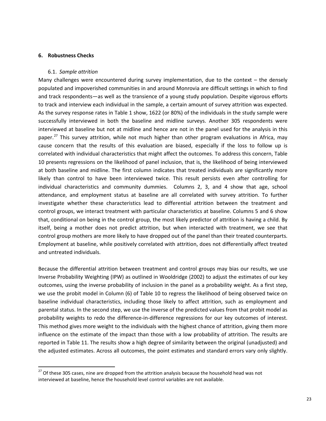#### **6. Robustness Checks**

 $\overline{\phantom{a}}$ 

#### 6.1. *Sample attrition*

Many challenges were encountered during survey implementation, due to the context – the densely populated and impoverished communities in and around Monrovia are difficult settings in which to find and track respondents—as well as the transience of a young study population. Despite vigorous efforts to track and interview each individual in the sample, a certain amount of survey attrition was expected. As the survey response rates in Table 1 show, 1622 (or 80%) of the individuals in the study sample were successfully interviewed in both the baseline and midline surveys. Another 305 respondents were interviewed at baseline but not at midline and hence are not in the panel used for the analysis in this paper.<sup>[27](#page-24-0)</sup> This survey attrition, while not much higher than other program evaluations in Africa, may cause concern that the results of this evaluation are biased, especially if the loss to follow up is correlated with individual characteristics that might affect the outcomes. To address this concern, Table 10 presents regressions on the likelihood of panel inclusion, that is, the likelihood of being interviewed at both baseline and midline. The first column indicates that treated individuals are significantly more likely than control to have been interviewed twice. This result persists even after controlling for individual characteristics and community dummies. Columns 2, 3, and 4 show that age, school attendance, and employment status at baseline are all correlated with survey attrition. To further investigate whether these characteristics lead to differential attrition between the treatment and control groups, we interact treatment with particular characteristics at baseline. Columns 5 and 6 show that, conditional on being in the control group, the most likely predictor of attrition is having a child. By itself, being a mother does not predict attrition, but when interacted with treatment, we see that control group mothers are more likely to have dropped out of the panel than their treated counterparts. Employment at baseline, while positively correlated with attrition, does not differentially affect treated and untreated individuals.

Because the differential attrition between treatment and control groups may bias our results, we use Inverse Probability Weighting (IPW) as outlined in Wooldridge (2002) to adjust the estimates of our key outcomes, using the inverse probability of inclusion in the panel as a probability weight. As a first step, we use the probit model in Column (6) of Table 10 to regress the likelihood of being observed twice on baseline individual characteristics, including those likely to affect attrition, such as employment and parental status. In the second step, we use the inverse of the predicted values from that probit model as probability weights to redo the difference-in-difference regressions for our key outcomes of interest. This method gives more weight to the individuals with the highest chance of attrition, giving them more influence on the estimate of the impact than those with a low probability of attrition. The results are reported in Table 11. The results show a high degree of similarity between the original (unadjusted) and the adjusted estimates. Across all outcomes, the point estimates and standard errors vary only slightly.

<span id="page-24-0"></span> $^{27}$  Of these 305 cases, nine are dropped from the attrition analysis because the household head was not interviewed at baseline, hence the household level control variables are not available.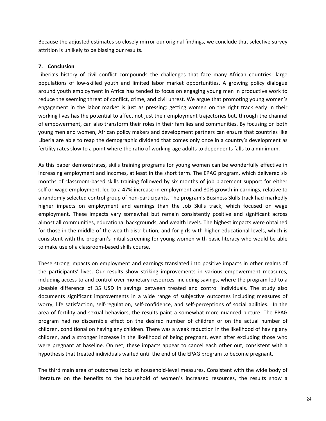Because the adjusted estimates so closely mirror our original findings, we conclude that selective survey attrition is unlikely to be biasing our results.

# **7. Conclusion**

Liberia's history of civil conflict compounds the challenges that face many African countries: large populations of low-skilled youth and limited labor market opportunities. A growing policy dialogue around youth employment in Africa has tended to focus on engaging young men in productive work to reduce the seeming threat of conflict, crime, and civil unrest. We argue that promoting young women's engagement in the labor market is just as pressing: getting women on the right track early in their working lives has the potential to affect not just their employment trajectories but, through the channel of empowerment, can also transform their roles in their families and communities. By focusing on both young men and women, African policy makers and development partners can ensure that countries like Liberia are able to reap the demographic dividend that comes only once in a country's development as fertility rates slow to a point where the ratio of working-age adults to dependents falls to a minimum.

As this paper demonstrates, skills training programs for young women can be wonderfully effective in increasing employment and incomes, at least in the short term. The EPAG program, which delivered six months of classroom-based skills training followed by six months of job placement support for either self or wage employment, led to a 47% increase in employment and 80% growth in earnings, relative to a randomly selected control group of non-participants. The program's Business Skills track had markedly higher impacts on employment and earnings than the Job Skills track, which focused on wage employment. These impacts vary somewhat but remain consistently positive and significant across almost all communities, educational backgrounds, and wealth levels. The highest impacts were obtained for those in the middle of the wealth distribution, and for girls with higher educational levels, which is consistent with the program's initial screening for young women with basic literacy who would be able to make use of a classroom-based skills course.

These strong impacts on employment and earnings translated into positive impacts in other realms of the participants' lives. Our results show striking improvements in various empowerment measures, including access to and control over monetary resources, including savings, where the program led to a sizeable difference of 35 USD in savings between treated and control individuals. The study also documents significant improvements in a wide range of subjective outcomes including measures of worry, life satisfaction, self-regulation, self-confidence, and self-perceptions of social abilities. In the area of fertility and sexual behaviors, the results paint a somewhat more nuanced picture. The EPAG program had no discernible effect on the desired number of children or on the actual number of children, conditional on having any children. There was a weak reduction in the likelihood of having any children, and a stronger increase in the likelihood of being pregnant, even after excluding those who were pregnant at baseline. On net, these impacts appear to cancel each other out, consistent with a hypothesis that treated individuals waited until the end of the EPAG program to become pregnant.

The third main area of outcomes looks at household-level measures. Consistent with the wide body of literature on the benefits to the household of women's increased resources, the results show a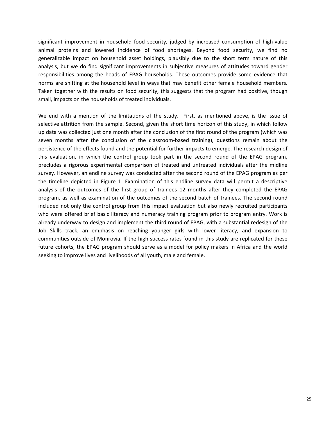significant improvement in household food security, judged by increased consumption of high-value animal proteins and lowered incidence of food shortages. Beyond food security, we find no generalizable impact on household asset holdings, plausibly due to the short term nature of this analysis, but we do find significant improvements in subjective measures of attitudes toward gender responsibilities among the heads of EPAG households. These outcomes provide some evidence that norms are shifting at the household level in ways that may benefit other female household members. Taken together with the results on food security, this suggests that the program had positive, though small, impacts on the households of treated individuals.

We end with a mention of the limitations of the study. First, as mentioned above, is the issue of selective attrition from the sample. Second, given the short time horizon of this study, in which follow up data was collected just one month after the conclusion of the first round of the program (which was seven months after the conclusion of the classroom-based training), questions remain about the persistence of the effects found and the potential for further impacts to emerge. The research design of this evaluation, in which the control group took part in the second round of the EPAG program, precludes a rigorous experimental comparison of treated and untreated individuals after the midline survey. However, an endline survey was conducted after the second round of the EPAG program as per the timeline depicted in Figure 1. Examination of this endline survey data will permit a descriptive analysis of the outcomes of the first group of trainees 12 months after they completed the EPAG program, as well as examination of the outcomes of the second batch of trainees. The second round included not only the control group from this impact evaluation but also newly recruited participants who were offered brief basic literacy and numeracy training program prior to program entry. Work is already underway to design and implement the third round of EPAG, with a substantial redesign of the Job Skills track, an emphasis on reaching younger girls with lower literacy, and expansion to communities outside of Monrovia. If the high success rates found in this study are replicated for these future cohorts, the EPAG program should serve as a model for policy makers in Africa and the world seeking to improve lives and livelihoods of all youth, male and female.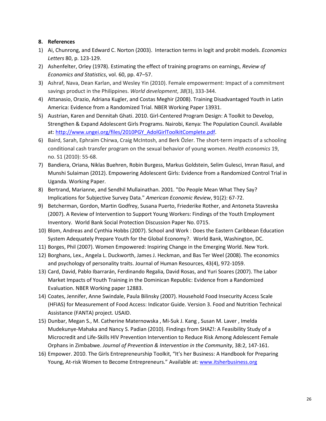# **8. References**

- 1) Ai, Chunrong, and Edward C. Norton (2003). Interaction terms in logit and probit models. *Economics Letters* 80, p. 123-129.
- 2) Ashenfelter, Orley (1978). Estimating the effect of training programs on earnings, *Review of Economics and Statistics*, vol. 60, pp. 47–57.
- 3) Ashraf, Nava, Dean Karlan, and Wesley Yin (2010). Female empowerment: Impact of a commitment savings product in the Philippines. *World development*, *38*(3), 333-344.
- 4) Attanasio, Orazio, Adriana Kugler, and Costas Meghir (2008). Training Disadvantaged Youth in Latin America: Evidence from a Randomized Trial. NBER Working Paper 13931.
- 5) Austrian, Karen and Dennitah Ghati. 2010. Girl-Centered Program Design: A Toolkit to Develop, Strengthen & Expand Adolescent Girls Programs. Nairobi, Kenya: The Population Council. Available at: [http://www.ungei.org/files/2010PGY\\_AdolGirlToolkitComplete.pdf.](http://www.ungei.org/files/2010PGY_AdolGirlToolkitComplete.pdf)
- 6) Baird, Sarah, Ephraim Chirwa, Craig McIntosh, and Berk Özler. The short-term impacts of a schooling conditional cash transfer program on the sexual behavior of young women. *Health economics* 19, no. S1 (2010): 55-68.
- 7) Bandiera, Oriana, Niklas Buehren, Robin Burgess, Markus Goldstein, Selim Gulesci, Imran Rasul, and Munshi Sulaiman (2012). Empowering Adolescent Girls: Evidence from a Randomized Control Trial in Uganda. Working Paper.
- 8) Bertrand, Marianne, and Sendhil Mullainathan. 2001. "Do People Mean What They Say? Implications for Subjective Survey Data." *American Economic Review*, 91(2): 67-72.
- 9) Betcherman, Gordon, Martin Godfrey, Susana Puerto, Friederike Rother, and Antoneta Stavreska (2007). A Review of Intervention to Support Young Workers: Findings of the Youth Employment Inventory. World Bank Social Protection Discussion Paper No. 0715.
- 10) Blom, Andreas and Cynthia Hobbs (2007). School and Work : Does the Eastern Caribbean Education System Adequately Prepare Youth for the Global Economy?. World Bank, Washington, DC.
- 11) Borges, Phil (2007). Women Empowered: Inspiring Change in the Emerging World. New York.
- 12) Borghans, Lex., Angela L. Duckworth, James J. Heckman, and Bas Ter Weel (2008). The economics and psychology of personality traits. Journal of Human Resources, 43(4), 972-1059.
- 13) Card, David, Pablo Ibarrarán, Ferdinando Regalia, David Rosas, and Yuri Soares (2007). The Labor Market Impacts of Youth Training in the Dominican Republic: Evidence from a Randomized Evaluation. NBER Working paper 12883.
- 14) Coates, Jennifer, Anne Swindale, Paula Bilinsky (2007). Household Food Insecurity Access Scale (HFIAS) for Measurement of Food Access: Indicator Guide. Version 3. Food and Nutrition Technical Assistance (FANTA) project. USAID.
- 15) Dunbar, Megan S., M. Catherine Maternowska , Mi-Suk J. Kang , Susan M. Laver , Imelda Mudekunye-Mahaka and Nancy S. Padian (2010). Findings from SHAZ!: A Feasibility Study of a Microcredit and Life-Skills HIV Prevention Intervention to Reduce Risk Among Adolescent Female Orphans in Zimbabwe. *Journal of Prevention & Intervention in the Community*, 38:2, 147-161.
- 16) Empower. 2010. The Girls Entrepreneurship Toolkit, "It's her Business: A Handbook for Preparing Young, At-risk Women to Become Entrepreneurs." Available at: [www.itsherbusiness.org](http://www.itsherbusiness.org/)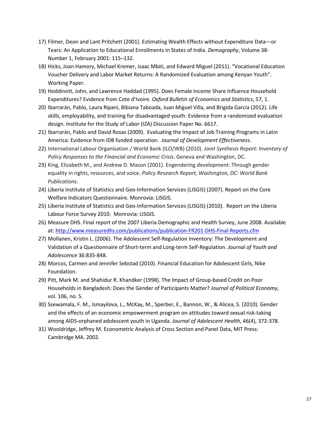- 17) Filmer, Deon and Lant Pritchett (2001). Estimating Wealth Effects without Expenditure Data—or Tears: An Application to Educational Enrollments in States of India. *Demography*, Volume 38- Number 1, February 2001: 115–132.
- 18) Hicks, Joan Hamory, Michael Kremer, Isaac Mbiti, and Edward Miguel (2011). "Vocational Education Voucher Delivery and Labor Market Returns: A Randomized Evaluation among Kenyan Youth". Working Paper.
- 19) Hoddinott, John, and Lawrence Haddad (1995). Does Female Income Share Influence Household Expenditures? Evidence from Cote d'Ivoire. *Oxford Bulletin of Economics and Statistics*, 57, 1.
- 20) Ibarrarán, Pablo, Laura Ripani, Bibiana Taboada, Juan Miguel Villa, and Brigida Garcia (2012). Life skills, employability, and training for disadvantaged youth: Evidence from a randomized evaluation design. Institute for the Study of Labor (IZA) Discussion Paper No. 6617.
- 21) Ibarrarán, Pablo and David Rosas (2009). Evaluating the Impact of Job Training Programs in Latin America: Evidence from IDB funded operation. *Journal of Development Effectiveness*.
- 22) International Labour Organisation / World Bank (ILO/WB) (2010). *Joint Synthesis Report: Inventory of Policy Responses to the Financial and Economic Crisis*. Geneva and Washington, DC.
- 23) King, Elizabeth M., and Andrew D. Mason (2001). Engendering development: Through gender equality in rights, resources, and voice. *Policy Research Report, Washington, DC: World Bank Publications*.
- 24) Liberia Institute of Statistics and Geo-Information Services (LISGIS) (2007). Report on the Core Welfare Indicators Questionnaire. Monrovia: LISGIS.
- 25) Liberia Institute of Statistics and Geo-Information Services (LISGIS) (2010). Report on the Liberia Labour Force Survey 2010. Monrovia: LISGIS.
- 26) Measure DHS. Final report of the 2007 Liberia Demographic and Health Survey, June 2008. Available at:<http://www.measuredhs.com/publications/publication-FR201-DHS-Final-Reports.cfm>
- 27) Mollanen, Kristin L. (2006). The Adolescent Self-Regulation Inventory: The Development and Validation of a Questionnaire of Short-term and Long-term Self-Regulation. *Journal of Youth and Adolescence* 36:835-848.
- 28) Morcos, Carmen and Jennifer Sebstad (2010). Financial Education for Adolescent Girls, Nike Foundation.
- 29) Pitt, Mark M. and Shahidur R. Khandker (1998). The Impact of Group-based Credit on Poor Households in Bangladesh: Does the Gender of Participants Matter? *Journal of Political Economy*, vol. 106, no. 5.
- 30) Ssewamala, F. M., Ismayilova, L., McKay, M., Sperber, E., Bannon, W., & Alicea, S. (2010). Gender and the effects of an economic empowerment program on attitudes toward sexual risk-taking among AIDS-orphaned adolescent youth in Uganda. *Journal of Adolescent Health*, 46(4), 372-378.
- 31) Wooldridge, Jeffrey M. Econometric Analysis of Cross Section and Panel Data, MIT Press: Cambridge MA. 2002.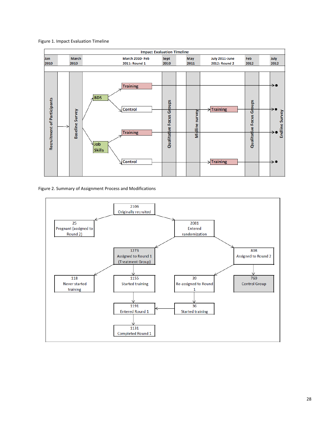#### Figure 1. Impact Evaluation Timeline



Figure 2. Summary of Assignment Process and Modifications

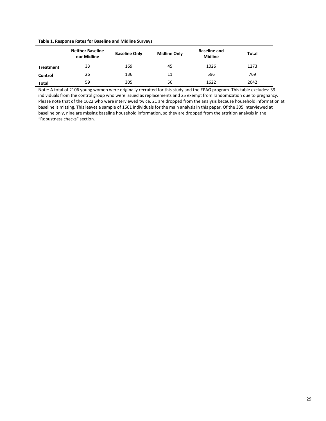#### **Table 1. Response Rates for Baseline and Midline Surveys**

|                  | <b>Neither Baseline</b><br>nor Midline | <b>Baseline Only</b> | <b>Midline Only</b> | <b>Baseline and</b><br><b>Midline</b> | Total |
|------------------|----------------------------------------|----------------------|---------------------|---------------------------------------|-------|
| <b>Treatment</b> | 33                                     | 169                  | 45                  | 1026                                  | 1273  |
| Control          | 26                                     | 136                  | 11                  | 596                                   | 769   |
| Total            | 59                                     | 305                  | 56                  | 1622                                  | 2042  |

Note: A total of 2106 young women were originally recruited for this study and the EPAG program. This table excludes: 39 individuals from the control group who were issued as replacements and 25 exempt from randomization due to pregnancy. Please note that of the 1622 who were interviewed twice, 21 are dropped from the analysis because household information at baseline is missing. This leaves a sample of 1601 individuals for the main analysis in this paper. Of the 305 interviewed at baseline only, nine are missing baseline household information, so they are dropped from the attrition analysis in the "Robustness checks" section.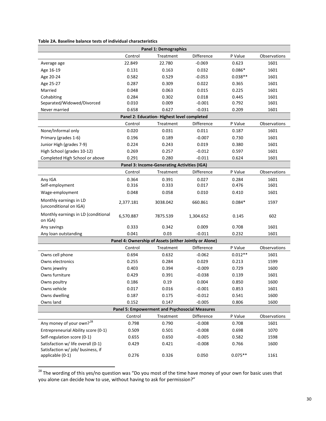| Table 2A. Baseline balance tests of individual characteristics |  |  |  |
|----------------------------------------------------------------|--|--|--|
|----------------------------------------------------------------|--|--|--|

|                                                                         | <b>Panel 1: Demographics</b> |                                                        |            |           |              |  |  |
|-------------------------------------------------------------------------|------------------------------|--------------------------------------------------------|------------|-----------|--------------|--|--|
|                                                                         | Control                      | Treatment                                              | Difference | P Value   | Observations |  |  |
| Average age                                                             | 22.849                       | 22.780                                                 | $-0.069$   | 0.623     | 1601         |  |  |
| Age 16-19                                                               | 0.131                        | 0.163                                                  | 0.032      | $0.086*$  | 1601         |  |  |
| Age 20-24                                                               | 0.582                        | 0.529                                                  | $-0.053$   | $0.038**$ | 1601         |  |  |
| Age 25-27                                                               | 0.287                        | 0.309                                                  | 0.022      | 0.365     | 1601         |  |  |
| Married                                                                 | 0.048                        | 0.063                                                  | 0.015      | 0.225     | 1601         |  |  |
| Cohabiting                                                              | 0.284                        | 0.302                                                  | 0.018      | 0.445     | 1601         |  |  |
| Separated/Widowed/Divorced                                              | 0.010                        | 0.009                                                  | $-0.001$   | 0.792     | 1601         |  |  |
| Never married                                                           | 0.658                        | 0.627                                                  | $-0.031$   | 0.209     | 1601         |  |  |
|                                                                         |                              | Panel 2: Education- Highest level completed            |            |           |              |  |  |
|                                                                         | Control                      | Treatment                                              | Difference | P Value   | Observations |  |  |
| None/Informal only                                                      | 0.020                        | 0.031                                                  | 0.011      | 0.187     | 1601         |  |  |
| Primary (grades 1-6)                                                    | 0.196                        | 0.189                                                  | $-0.007$   | 0.730     | 1601         |  |  |
| Junior High (grades 7-9)                                                | 0.224                        | 0.243                                                  | 0.019      | 0.380     | 1601         |  |  |
| High School (grades 10-12)                                              | 0.269                        | 0.257                                                  | $-0.012$   | 0.597     | 1601         |  |  |
| Completed High School or above                                          | 0.291                        | 0.280                                                  | $-0.011$   | 0.624     | 1601         |  |  |
|                                                                         |                              | Panel 3: Income-Generating Activities (IGA)            |            |           |              |  |  |
|                                                                         | Control                      | Treatment                                              | Difference | P Value   | Observations |  |  |
| Any IGA                                                                 | 0.364                        | 0.391                                                  | 0.027      | 0.284     | 1601         |  |  |
| Self-employment                                                         | 0.316                        | 0.333                                                  | 0.017      | 0.476     | 1601         |  |  |
| Wage-employment                                                         | 0.048                        | 0.058                                                  | 0.010      | 0.410     | 1601         |  |  |
| Monthly earnings in LD<br>(unconditional on IGA)                        | 2,377.181                    | 3038.042                                               | 660.861    | $0.084*$  | 1597         |  |  |
| Monthly earnings in LD (conditional<br>on IGA)                          | 6,570.887                    | 7875.539                                               | 1,304.652  | 0.145     | 602          |  |  |
| Any savings                                                             | 0.333                        | 0.342                                                  | 0.009      | 0.708     | 1601         |  |  |
| Any loan outstanding                                                    | 0.041                        | 0.03                                                   | $-0.011$   | 0.232     | 1601         |  |  |
|                                                                         |                              | Panel 4: Ownership of Assets (either Jointly or Alone) |            |           |              |  |  |
|                                                                         | Control                      | Treatment                                              | Difference | P Value   | Observations |  |  |
| Owns cell phone                                                         | 0.694                        | 0.632                                                  | $-0.062$   | $0.012**$ | 1601         |  |  |
| Owns electronics                                                        | 0.255                        | 0.284                                                  | 0.029      | 0.213     | 1599         |  |  |
| Owns jewelry                                                            | 0.403                        | 0.394                                                  | $-0.009$   | 0.729     | 1600         |  |  |
| Owns furniture                                                          | 0.429                        | 0.391                                                  | $-0.038$   | 0.139     | 1601         |  |  |
| Owns poultry                                                            | 0.186                        | 0.19                                                   | 0.004      | 0.850     | 1600         |  |  |
| Owns vehicle                                                            | 0.017                        | 0.016                                                  | $-0.001$   | 0.853     | 1601         |  |  |
| Owns dwelling                                                           | 0.187                        | 0.175                                                  | $-0.012$   | 0.541     | 1600         |  |  |
| Owns land                                                               | 0.152                        | 0.147                                                  | $-0.005$   | 0.806     | 1600         |  |  |
|                                                                         |                              | Panel 5: Empowerment and Psychosocial Measures         |            |           |              |  |  |
|                                                                         | Control                      | Treatment                                              | Difference | P Value   | Observations |  |  |
| Any money of your own? <sup>28</sup>                                    | 0.798                        | 0.790                                                  | $-0.008$   | 0.708     | 1601         |  |  |
| Entrepreneurial Ability score (0-1)                                     | 0.509                        | 0.501                                                  | $-0.008$   | 0.698     | 1070         |  |  |
| Self-regulation score (0-1)                                             | 0.655                        | 0.650                                                  | $-0.005$   | 0.582     | 1598         |  |  |
| Satisfaction w/ life overall (0-1)<br>Satisfaction w/ job/ business, if | 0.429                        | 0.421                                                  | $-0.008$   | 0.766     | 1600         |  |  |
| applicable (0-1)                                                        | 0.276                        | 0.326                                                  | 0.050      | $0.075**$ | 1161         |  |  |

<span id="page-31-0"></span><sup>&</sup>lt;sup>28</sup> The wording of this yes/no question was "Do you most of the time have money of your own for basic uses that you alone can decide how to use, without having to ask for permission?"

 $\overline{\phantom{a}}$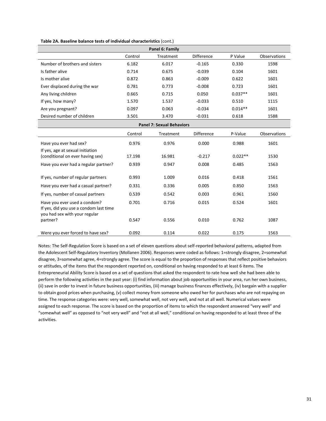|  |  |  |  | Table 2A. Baseline balance tests of individual characteristics (cont.) |  |
|--|--|--|--|------------------------------------------------------------------------|--|
|--|--|--|--|------------------------------------------------------------------------|--|

| Panel 6: Family                                                                                         |         |                                  |                   |           |                     |  |  |
|---------------------------------------------------------------------------------------------------------|---------|----------------------------------|-------------------|-----------|---------------------|--|--|
|                                                                                                         | Control | Treatment                        | <b>Difference</b> | P Value   | Observations        |  |  |
| Number of brothers and sisters                                                                          | 6.182   | 6.017                            | $-0.165$          | 0.330     | 1598                |  |  |
| Is father alive                                                                                         | 0.714   | 0.675                            | $-0.039$          | 0.104     | 1601                |  |  |
| Is mother alive                                                                                         | 0.872   | 0.863                            | $-0.009$          | 0.622     | 1601                |  |  |
| Ever displaced during the war                                                                           | 0.781   | 0.773                            | $-0.008$          | 0.723     | 1601                |  |  |
| Any living children                                                                                     | 0.665   | 0.715                            | 0.050             | $0.037**$ | 1601                |  |  |
| If yes, how many?                                                                                       | 1.570   | 1.537                            | $-0.033$          | 0.510     | 1115                |  |  |
| Are you pregnant?                                                                                       | 0.097   | 0.063                            | $-0.034$          | $0.014**$ | 1601                |  |  |
| Desired number of children                                                                              | 3.501   | 3.470                            | $-0.031$          | 0.618     | 1588                |  |  |
|                                                                                                         |         | <b>Panel 7: Sexual Behaviors</b> |                   |           |                     |  |  |
|                                                                                                         | Control | Treatment                        | <b>Difference</b> | P-Value   | <b>Observations</b> |  |  |
| Have you ever had sex?                                                                                  | 0.976   | 0.976                            | 0.000             | 0.988     | 1601                |  |  |
| If yes, age at sexual initiation<br>(conditional on ever having sex)                                    | 17.198  | 16.981                           | $-0.217$          | $0.022**$ | 1530                |  |  |
| Have you ever had a regular partner?                                                                    | 0.939   | 0.947                            | 0.008             | 0.485     | 1563                |  |  |
| If yes, number of regular partners                                                                      | 0.993   | 1.009                            | 0.016             | 0.418     | 1561                |  |  |
| Have you ever had a casual partner?                                                                     | 0.331   | 0.336                            | 0.005             | 0.850     | 1563                |  |  |
| If yes, number of casual partners                                                                       | 0.539   | 0.542                            | 0.003             | 0.961     | 1560                |  |  |
| Have you ever used a condom?<br>If yes, did you use a condom last time<br>you had sex with your regular | 0.701   | 0.716                            | 0.015             | 0.524     | 1601                |  |  |
| partner?                                                                                                | 0.547   | 0.556                            | 0.010             | 0.762     | 1087                |  |  |
| Were you ever forced to have sex?                                                                       | 0.092   | 0.114                            | 0.022             | 0.175     | 1563                |  |  |

Notes: The Self-Regulation Score is based on a set of eleven questions about self-reported behavioral patterns, adapted from the Adolescent Self-Regulatory Inventory (Mollanen 2006). Responses were coded as follows: 1=strongly disagree, 2=somewhat disagree, 3=somewhat agree, 4=strongly agree. The score is equal to the proportion of responses that reflect positive behaviors or attitudes, of the items that the respondent reported on, conditional on having responded to at least 6 items. The Entrepreneurial Ability Score is based on a set of questions that asked the respondent to rate how well she had been able to perform the following activities in the past year: (i) find information about job opportunities in your area, run her own business, (ii) save in order to invest in future business opportunities, (iii) manage business finances effectively, (iv) bargain with a supplier to obtain good prices when purchasing, (v) collect money from someone who owed her for purchases who are not repaying on time. The response categories were: very well, somewhat well, not very well, and not at all well. Numerical values were assigned to each response. The score is based on the proportion of items to which the respondent answered "very well" and "somewhat well" as opposed to "not very well" and "not at all well," conditional on having responded to at least three of the activities.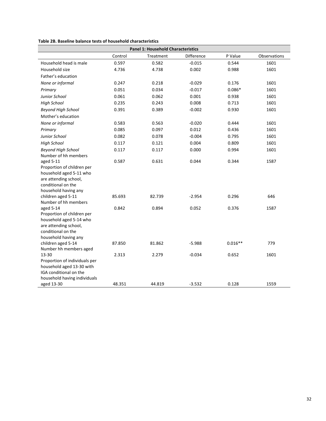| Table 2B. Baseline balance tests of household characteristics |  |  |
|---------------------------------------------------------------|--|--|
|---------------------------------------------------------------|--|--|

| <b>Panel 1: Household Characteristics</b>    |         |           |            |           |              |  |  |
|----------------------------------------------|---------|-----------|------------|-----------|--------------|--|--|
|                                              | Control | Treatment | Difference | P Value   | Observations |  |  |
| Household head is male                       | 0.597   | 0.582     | $-0.015$   | 0.544     | 1601         |  |  |
| Household size                               | 4.736   | 4.738     | 0.002      | 0.988     | 1601         |  |  |
| Father's education                           |         |           |            |           |              |  |  |
| None or informal                             | 0.247   | 0.218     | $-0.029$   | 0.176     | 1601         |  |  |
| Primary                                      | 0.051   | 0.034     | $-0.017$   | $0.086*$  | 1601         |  |  |
| Junior School                                | 0.061   | 0.062     | 0.001      | 0.938     | 1601         |  |  |
| <b>High School</b>                           | 0.235   | 0.243     | 0.008      | 0.713     | 1601         |  |  |
| <b>Beyond High School</b>                    | 0.391   | 0.389     | $-0.002$   | 0.930     | 1601         |  |  |
| Mother's education                           |         |           |            |           |              |  |  |
| None or informal                             | 0.583   | 0.563     | $-0.020$   | 0.444     | 1601         |  |  |
| Primary                                      | 0.085   | 0.097     | 0.012      | 0.436     | 1601         |  |  |
| Junior School                                | 0.082   | 0.078     | $-0.004$   | 0.795     | 1601         |  |  |
| <b>High School</b>                           | 0.117   | 0.121     | 0.004      | 0.809     | 1601         |  |  |
| <b>Beyond High School</b>                    | 0.117   | 0.117     | 0.000      | 0.994     | 1601         |  |  |
| Number of hh members                         |         |           |            |           |              |  |  |
| aged 5-11                                    | 0.587   | 0.631     | 0.044      | 0.344     | 1587         |  |  |
| Proportion of children per                   |         |           |            |           |              |  |  |
| household aged 5-11 who                      |         |           |            |           |              |  |  |
| are attending school,<br>conditional on the  |         |           |            |           |              |  |  |
| household having any                         |         |           |            |           |              |  |  |
| children aged 5-11                           | 85.693  | 82.739    | $-2.954$   | 0.296     | 646          |  |  |
| Number of hh members                         |         |           |            |           |              |  |  |
| aged 5-14                                    | 0.842   | 0.894     | 0.052      | 0.376     | 1587         |  |  |
| Proportion of children per                   |         |           |            |           |              |  |  |
| household aged 5-14 who                      |         |           |            |           |              |  |  |
| are attending school,                        |         |           |            |           |              |  |  |
| conditional on the                           |         |           |            |           |              |  |  |
| household having any                         | 87.850  | 81.862    | $-5.988$   | $0.016**$ | 779          |  |  |
| children aged 5-14<br>Number hh members aged |         |           |            |           |              |  |  |
| 13-30                                        | 2.313   | 2.279     | $-0.034$   | 0.652     | 1601         |  |  |
| Proportion of individuals per                |         |           |            |           |              |  |  |
| household aged 13-30 with                    |         |           |            |           |              |  |  |
| IGA conditional on the                       |         |           |            |           |              |  |  |
| household having individuals                 |         |           |            |           |              |  |  |
| aged 13-30                                   | 48.351  | 44.819    | $-3.532$   | 0.128     | 1559         |  |  |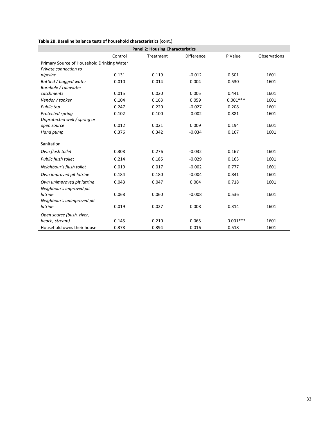# **Table 2B. Baseline balance tests of household characteristics** (cont.)

| <b>Panel 2: Housing Characteristics</b>    |         |           |                   |            |                     |  |  |  |
|--------------------------------------------|---------|-----------|-------------------|------------|---------------------|--|--|--|
|                                            | Control | Treatment | <b>Difference</b> | P Value    | <b>Observations</b> |  |  |  |
| Primary Source of Household Drinking Water |         |           |                   |            |                     |  |  |  |
| Private connection to                      |         |           |                   |            |                     |  |  |  |
| pipeline                                   | 0.131   | 0.119     | $-0.012$          | 0.501      | 1601                |  |  |  |
| Bottled / bagged water                     | 0.010   | 0.014     | 0.004             | 0.530      | 1601                |  |  |  |
| Borehole / rainwater                       |         |           |                   |            |                     |  |  |  |
| catchments                                 | 0.015   | 0.020     | 0.005             | 0.441      | 1601                |  |  |  |
| Vendor / tanker                            | 0.104   | 0.163     | 0.059             | $0.001***$ | 1601                |  |  |  |
| Public tap                                 | 0.247   | 0.220     | $-0.027$          | 0.208      | 1601                |  |  |  |
| Protected spring                           | 0.102   | 0.100     | $-0.002$          | 0.881      | 1601                |  |  |  |
| Unprotected well / spring or               |         |           |                   |            |                     |  |  |  |
| open source                                | 0.012   | 0.021     | 0.009             | 0.194      | 1601                |  |  |  |
| Hand pump                                  | 0.376   | 0.342     | $-0.034$          | 0.167      | 1601                |  |  |  |
|                                            |         |           |                   |            |                     |  |  |  |
| Sanitation                                 |         |           |                   |            |                     |  |  |  |
| Own flush toilet                           | 0.308   | 0.276     | $-0.032$          | 0.167      | 1601                |  |  |  |
| Public flush toilet                        | 0.214   | 0.185     | $-0.029$          | 0.163      | 1601                |  |  |  |
| Neighbour's flush toilet                   | 0.019   | 0.017     | $-0.002$          | 0.777      | 1601                |  |  |  |
| Own improved pit latrine                   | 0.184   | 0.180     | $-0.004$          | 0.841      | 1601                |  |  |  |
| Own unimproved pit latrine                 | 0.043   | 0.047     | 0.004             | 0.718      | 1601                |  |  |  |
| Neighbour's improved pit                   |         |           |                   |            |                     |  |  |  |
| latrine                                    | 0.068   | 0.060     | $-0.008$          | 0.536      | 1601                |  |  |  |
| Neighbour's unimproved pit                 |         |           |                   |            |                     |  |  |  |
| latrine                                    | 0.019   | 0.027     | 0.008             | 0.314      | 1601                |  |  |  |
| Open source (bush, river,                  |         |           |                   |            |                     |  |  |  |
| beach, stream)                             | 0.145   | 0.210     | 0.065             | $0.001***$ | 1601                |  |  |  |
| Household owns their house                 | 0.378   | 0.394     | 0.016             | 0.518      | 1601                |  |  |  |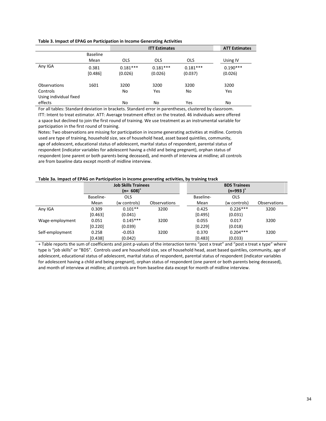| Table 3. Impact of EPAG on Participation in Income Generating Activities |  |  |  |
|--------------------------------------------------------------------------|--|--|--|
|                                                                          |  |  |  |

|                        |                 |            | <b>ATT Estimates</b> |            |            |
|------------------------|-----------------|------------|----------------------|------------|------------|
|                        | <b>Baseline</b> |            |                      |            |            |
|                        | Mean            | <b>OLS</b> | <b>OLS</b>           | <b>OLS</b> | Using IV   |
| Any IGA                | 0.381           | $0.181***$ | $0.181***$           | $0.181***$ | $0.190***$ |
|                        | [0.486]         | (0.026)    | (0.026)              | (0.037)    | (0.026)    |
| <b>Observations</b>    | 1601            | 3200       | 3200                 | 3200       | 3200       |
| Controls               |                 | No         | Yes                  | No         | Yes        |
| Using individual fixed |                 |            |                      |            |            |
| effects                |                 | No         | No                   | Yes        | No         |

For all tables: Standard deviation in brackets. Standard error in parentheses, clustered by classroom. ITT: Intent to treat estimator. ATT: Average treatment effect on the treated. 46 individuals were offered a space but declined to join the first round of training. We use treatment as an instrumental variable for participation in the first round of training.

Notes: Two observations are missing for participation in income generating activities at midline. Controls used are type of training, household size, sex of household head, asset based quintiles, community, age of adolescent, educational status of adolescent, marital status of respondent, parental status of respondent (indicator variables for adolescent having a child and being pregnant), orphan status of respondent (one parent or both parents being deceased), and month of interview at midline; all controls are from baseline data except month of midline interview.

#### **Table 3a. Impact of EPAG on Participation in income generating activities, by training track**

|                 | <b>Job Skills Trainees</b> |              |                     | <b>BDS Trainees</b> |              |                     |  |
|-----------------|----------------------------|--------------|---------------------|---------------------|--------------|---------------------|--|
|                 |                            | $(n=608)^+$  |                     | $(n=993)^+$         |              |                     |  |
|                 | Baseline-                  | <b>OLS</b>   |                     | Baseline-           | <b>OLS</b>   |                     |  |
|                 | Mean                       | (w controls) | <b>Observations</b> | Mean                | (w controls) | <b>Observations</b> |  |
| Any IGA         | 0.309                      | $0.101**$    | 3200                | 0.425               | $0.226***$   | 3200                |  |
|                 | [0.463]                    | (0.041)      |                     | [0.495]             | (0.031)      |                     |  |
| Wage-employment | 0.051                      | $0.145***$   | 3200                | 0.055               | 0.017        | 3200                |  |
|                 | [0.220]                    | (0.039)      |                     | [0.229]             | (0.018)      |                     |  |
| Self-employment | 0.258                      | $-0.053$     | 3200                | 0.370               | $0.204***$   | 3200                |  |
|                 | [0.438]                    | (0.042)      |                     | [0.483]             | (0.033)      |                     |  |

+ Table reports the sum of coefficients and joint p-values of the interaction terms "post x treat" and "post x treat x type" where type is "job skills" or "BDS". Controls used are household size, sex of household head, asset based quintiles, community, age of adolescent, educational status of adolescent, marital status of respondent, parental status of respondent (indicator variables for adolescent having a child and being pregnant), orphan status of respondent (one parent or both parents being deceased), and month of interview at midline; all controls are from baseline data except for month of midline interview.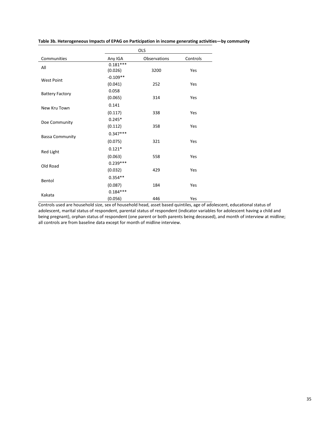|                        | OLS        |              |          |  |  |  |
|------------------------|------------|--------------|----------|--|--|--|
| Communities            | Any IGA    | Observations | Controls |  |  |  |
| All                    | $0.181***$ |              |          |  |  |  |
|                        | (0.026)    | 3200         | Yes      |  |  |  |
| <b>West Point</b>      | $-0.109**$ |              |          |  |  |  |
|                        | (0.041)    | 252          | Yes      |  |  |  |
| <b>Battery Factory</b> | 0.058      |              |          |  |  |  |
|                        | (0.065)    | 314          | Yes      |  |  |  |
| New Kru Town           | 0.141      |              |          |  |  |  |
|                        | (0.117)    | 338          | Yes      |  |  |  |
| Doe Community          | $0.245*$   |              |          |  |  |  |
|                        | (0.112)    | 358          | Yes      |  |  |  |
| <b>Bassa Community</b> | $0.347***$ |              |          |  |  |  |
|                        | (0.075)    | 321          | Yes      |  |  |  |
| <b>Red Light</b>       | $0.121*$   |              |          |  |  |  |
|                        | (0.063)    | 558          | Yes      |  |  |  |
| Old Road               | $0.239***$ |              |          |  |  |  |
|                        | (0.032)    | 429          | Yes      |  |  |  |
| Bentol                 | $0.354**$  |              |          |  |  |  |
|                        | (0.087)    | 184          | Yes      |  |  |  |
| Kakata                 | $0.184***$ |              |          |  |  |  |
|                        | (0.056)    | 446          | Yes      |  |  |  |

**Table 3b. Heterogeneous Impacts of EPAG on Participation in income generating activities—by community**

Controls used are household size, sex of household head, asset based quintiles, age of adolescent, educational status of adolescent, marital status of respondent, parental status of respondent (indicator variables for adolescent having a child and being pregnant), orphan status of respondent (one parent or both parents being deceased), and month of interview at midline; all controls are from baseline data except for month of midline interview.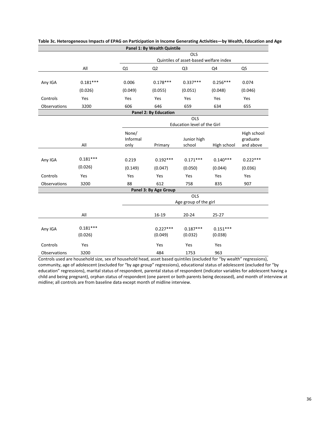|                                        |            |                   | Panel 1: By Wealth Quintile |                             |             |                         |  |
|----------------------------------------|------------|-------------------|-----------------------------|-----------------------------|-------------|-------------------------|--|
|                                        |            |                   |                             | <b>OLS</b>                  |             |                         |  |
| Quintiles of asset-based welfare index |            |                   |                             |                             |             |                         |  |
|                                        | All        | Q1                | Q2                          | Q3                          | Q4          | Q5                      |  |
|                                        |            |                   |                             |                             |             |                         |  |
| Any IGA                                | $0.181***$ | 0.006             | $0.178***$                  | $0.337***$                  | $0.256***$  | 0.074                   |  |
|                                        | (0.026)    | (0.049)           | (0.055)                     | (0.051)                     | (0.048)     | (0.046)                 |  |
| Controls                               | Yes        | Yes               | Yes                         | Yes                         | Yes         | Yes                     |  |
| Observations                           | 3200       | 606               | 646                         | 659                         | 634         | 655                     |  |
|                                        |            |                   | Panel 2: By Education       |                             |             |                         |  |
| OLS                                    |            |                   |                             |                             |             |                         |  |
|                                        |            |                   |                             | Education level of the Girl |             |                         |  |
|                                        |            | None/<br>Informal |                             | Junior high                 |             | High school<br>graduate |  |
|                                        | All        | only              | Primary                     | school                      | High school | and above               |  |
|                                        |            |                   |                             |                             |             |                         |  |
| Any IGA                                | $0.181***$ | 0.219             | $0.192***$                  | $0.171***$                  | $0.140***$  | $0.222***$              |  |
|                                        | (0.026)    | (0.149)           | (0.047)                     | (0.050)                     | (0.044)     | (0.036)                 |  |
| Controls                               | Yes        | Yes               | Yes                         | Yes                         | Yes         | Yes                     |  |
| Observations                           | 3200       | 88                | 612                         | 758                         | 835         | 907                     |  |
|                                        |            |                   | Panel 3: By Age Group       |                             |             |                         |  |
|                                        |            |                   |                             | OLS                         |             |                         |  |
|                                        |            |                   |                             | Age group of the girl       |             |                         |  |
|                                        | All        |                   | $16-19$                     | $20 - 24$                   | $25 - 27$   |                         |  |
|                                        | $0.181***$ |                   |                             |                             |             |                         |  |
| Any IGA                                | (0.026)    |                   | $0.227***$<br>(0.049)       | $0.187***$<br>(0.032)       | $0.151***$  |                         |  |
|                                        |            |                   |                             |                             | (0.038)     |                         |  |
| Controls                               | Yes        |                   | Yes                         | Yes                         | Yes         |                         |  |
| Observations                           | 3200       |                   | 484                         | 1753                        | 963         |                         |  |

# **Table 3c. Heterogeneous Impacts of EPAG on Participation in Income Generating Activities—by Wealth, Education and Age**

Controls used are household size, sex of household head, asset based quintiles (excluded for "by wealth" regressions), community, age of adolescent (excluded for "by age group" regressions), educational status of adolescent (excluded for "by education" regressions), marital status of respondent, parental status of respondent (indicator variables for adolescent having a child and being pregnant), orphan status of respondent (one parent or both parents being deceased), and month of interview at midline; all controls are from baseline data except month of midline interview.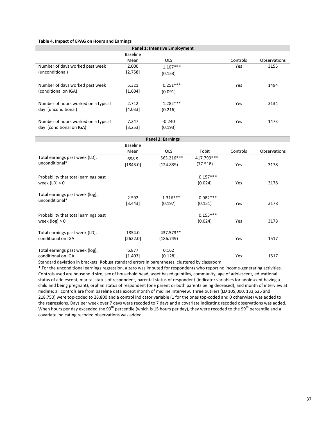#### **Table 4. Impact of EPAG on Hours and Earnings**

| <b>Panel 1: Intensive Employment</b> |                 |            |          |                     |  |  |  |
|--------------------------------------|-----------------|------------|----------|---------------------|--|--|--|
|                                      | <b>Baseline</b> |            |          |                     |  |  |  |
|                                      | Mean            | <b>OLS</b> | Controls | <b>Observations</b> |  |  |  |
| Number of days worked past week      | 2.000           | $1.107***$ | Yes      | 3155                |  |  |  |
| (unconditional)                      | [2.758]         | (0.153)    |          |                     |  |  |  |
| Number of days worked past week      | 5.321           | $0.251***$ | Yes      | 1494                |  |  |  |
| (conditional on IGA)                 | [1.604]         | (0.091)    |          |                     |  |  |  |
| Number of hours worked on a typical  | 2.712           | $1.282***$ | Yes      | 3134                |  |  |  |
| day (unconditional)                  | [4.033]         | (0.216)    |          |                     |  |  |  |
| Number of hours worked on a typical  | 7.247           | $-0.240$   | Yes      | 1473                |  |  |  |
| day (conditional on IGA)             | $[3.253]$       | (0.193)    |          |                     |  |  |  |

|                                                          | <b>Panel 2: Earnings</b> |                        |                       |          |              |  |  |
|----------------------------------------------------------|--------------------------|------------------------|-----------------------|----------|--------------|--|--|
|                                                          | <b>Baseline</b>          |                        |                       |          |              |  |  |
|                                                          | Mean                     | <b>OLS</b>             | Tobit                 | Controls | Observations |  |  |
| Total earnings past week (LD),                           | 698.9                    | 563.216***             | 417.799***            |          |              |  |  |
| unconditional*                                           | [1843.0]                 | (124.839)              | (77.518)              | Yes      | 3178         |  |  |
| Probability that total earnings past                     |                          |                        | $0.157***$            |          |              |  |  |
| week $(ID) > 0$                                          |                          |                        | (0.024)               | Yes      | 3178         |  |  |
| Total earnings past week (log),<br>unconditional*        | 2.592<br>[3.443]         | $1.316***$<br>(0.197)  | $0.982***$<br>(0.151) | Yes      | 3178         |  |  |
| Probability that total earnings past<br>week $(log) > 0$ |                          |                        | $0.155***$<br>(0.024) | Yes      | 3178         |  |  |
| Total earnings past week (LD),<br>conditional on IGA     | 1854.0<br>$[2622.0]$     | 437.573**<br>(186.749) |                       | Yes      | 1517         |  |  |
| Total earnings past week (log),<br>conditional on IGA    | 6.877<br>[1.403]         | 0.162<br>(0.128)       |                       | Yes      | 1517         |  |  |

Standard deviation in brackets. Robust standard errors in parentheses, clustered by classroom.

\* For the unconditional earnings regression, a zero was imputed for respondents who report no income-generating activities. Controls used are household size, sex of household head, asset based quintiles, community, age of adolescent, educational status of adolescent, marital status of respondent, parental status of respondent (indicator variables for adolescent having a child and being pregnant), orphan status of respondent (one parent or both parents being deceased), and month of interview at midline; all controls are from baseline data except month of midline interview. Three outliers (LD 105,000, 133,625 and 218,750) were top-coded to 28,800 and a control indicator variable (1 for the ones top-coded and 0 otherwise) was added to the regressions. Days per week over 7 days were recoded to 7 days and a covariate indicating recoded observations was added. When hours per day exceeded the 99<sup>th</sup> percentile (which is 15 hours per day), they were recoded to the 99<sup>th</sup> percentile and a covariate indicating recoded observations was added.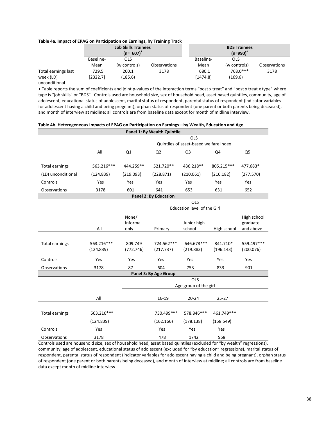#### **Table 4a. Impact of EPAG on Participation on Earnings, by Training Track**

|                     |           | <b>Job Skills Trainees</b><br>$(n=607)^+$ |                     |           | <b>BDS Trainees</b><br>$(n=990)^+$ |                     |  |
|---------------------|-----------|-------------------------------------------|---------------------|-----------|------------------------------------|---------------------|--|
|                     | Baseline- | OLS                                       |                     | Baseline- | OLS                                |                     |  |
|                     | Mean      | (w controls)                              | <b>Observations</b> | Mean      | (w controls)                       | <b>Observations</b> |  |
| Total earnings last | 729.5     | 200.1                                     | 3178                | 680.1     | 768.0***                           | 3178                |  |
| week (LD)           | [2322.7]  | (185.6)                                   |                     | [1474.8]  | (169.6)                            |                     |  |
| unconditional       |           |                                           |                     |           |                                    |                     |  |

+ Table reports the sum of coefficients and joint p-values of the interaction terms "post x treat" and "post x treat x type" where type is "job skills" or "BDS". Controls used are household size, sex of household head, asset based quintiles, community, age of adolescent, educational status of adolescent, marital status of respondent, parental status of respondent (indicator variables for adolescent having a child and being pregnant), orphan status of respondent (one parent or both parents being deceased), and month of interview at midline; all controls are from baseline data except for month of midline interview.

|                       |            |                   | Panel 1: By Wealth Quintile  |                                        |             |                         |
|-----------------------|------------|-------------------|------------------------------|----------------------------------------|-------------|-------------------------|
|                       |            |                   |                              | <b>OLS</b>                             |             |                         |
|                       |            |                   |                              | Quintiles of asset-based welfare index |             |                         |
|                       | All        | Q1                | Q <sub>2</sub>               | Q <sub>3</sub>                         | Q4          | Q <sub>5</sub>          |
|                       |            |                   |                              |                                        |             |                         |
| <b>Total earnings</b> | 563.216*** | 444.259**         | 521.720**                    | 436.218**                              | 805.215***  | 477.683*                |
| (LD) unconditional    | (124.839)  | (219.093)         | (228.871)                    | (210.061)                              | (216.182)   | (277.570)               |
| Controls              | Yes        | Yes               | Yes                          | Yes                                    | Yes         | Yes                     |
| Observations          | 3178       | 601               | 641                          | 653                                    | 631         | 652                     |
|                       |            |                   | <b>Panel 2: By Education</b> |                                        |             |                         |
|                       |            |                   |                              | OLS                                    |             |                         |
|                       |            |                   |                              | Education level of the Girl            |             |                         |
|                       |            | None/<br>Informal |                              | Junior high                            |             | High school<br>graduate |
|                       | All        | only              | Primary                      | school                                 | High school | and above               |
|                       |            |                   |                              |                                        |             |                         |
| Total earnings        | 563.216*** | 809.749           | 724.562***                   | 646.673***                             | 341.710*    | 559.497***              |
|                       | (124.839)  | (772.746)         | (217.737)                    | (219.883)                              | (196.143)   | (200.076)               |
| Controls              | Yes        | Yes               | Yes                          | Yes                                    | Yes         | Yes                     |
| Observations          | 3178       | 87                | 604                          | 753                                    | 833         | 901                     |
|                       |            |                   | Panel 3: By Age Group        |                                        |             |                         |
|                       |            |                   |                              | OLS                                    |             |                         |
|                       |            |                   |                              | Age group of the girl                  |             |                         |
|                       | All        |                   | $16-19$                      | $20 - 24$                              | $25 - 27$   |                         |
|                       |            |                   |                              |                                        |             |                         |
| Total earnings        | 563.216*** |                   | 730.499***                   | 578.846***                             | 461.749 *** |                         |
|                       | (124.839)  |                   | (162.166)                    | (178.138)                              | (158.549)   |                         |
| Controls              | Yes        |                   | Yes                          | Yes                                    | Yes         |                         |
| Observations          | 3178       |                   | 478                          | 1742                                   | 958         |                         |

#### **Table 4b. Heterogeneous Impacts of EPAG on Participation on Earnings—by Wealth, Education and Age**

Controls used are household size, sex of household head, asset based quintiles (excluded for "by wealth" regressions), community, age of adolescent, educational status of adolescent (excluded for "by education" regressions), marital status of respondent, parental status of respondent (indicator variables for adolescent having a child and being pregnant), orphan status of respondent (one parent or both parents being deceased), and month of interview at midline; all controls are from baseline data except month of midline interview.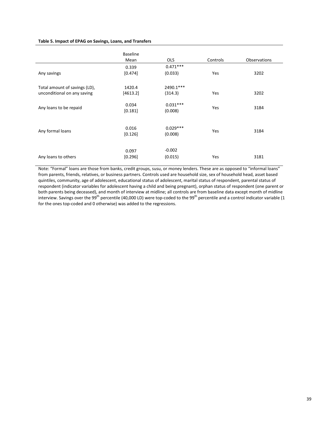#### **Table 5. Impact of EPAG on Savings, Loans, and Transfers**

|                                                              | <b>Baseline</b><br>Mean | <b>OLS</b>            | Controls | <b>Observations</b> |
|--------------------------------------------------------------|-------------------------|-----------------------|----------|---------------------|
| Any savings                                                  | 0.339<br>[0.474]        | $0.471***$<br>(0.033) | Yes      | 3202                |
| Total amount of savings (LD),<br>unconditional on any saving | 1420.4<br>[4613.2]      | 2490.1***<br>(314.3)  | Yes      | 3202                |
| Any loans to be repaid                                       | 0.034<br>[0.181]        | $0.031***$<br>(0.008) | Yes      | 3184                |
| Any formal loans                                             | 0.016<br>[0.126]        | $0.029***$<br>(0.008) | Yes      | 3184                |
| Any loans to others                                          | 0.097<br>[0.296]        | $-0.002$<br>(0.015)   | Yes      | 3181                |

Note: "Formal" loans are those from banks, credit groups, susu, or money lenders. These are as opposed to "informal loans" from parents, friends, relatives, or business partners. Controls used are household size, sex of household head, asset based quintiles, community, age of adolescent, educational status of adolescent, marital status of respondent, parental status of respondent (indicator variables for adolescent having a child and being pregnant), orphan status of respondent (one parent or both parents being deceased), and month of interview at midline; all controls are from baseline data except month of midline interview. Savings over the 99<sup>th</sup> percentile (40,000 LD) were top-coded to the 99<sup>th</sup> percentile and a control indicator variable (1 for the ones top-coded and 0 otherwise) was added to the regressions.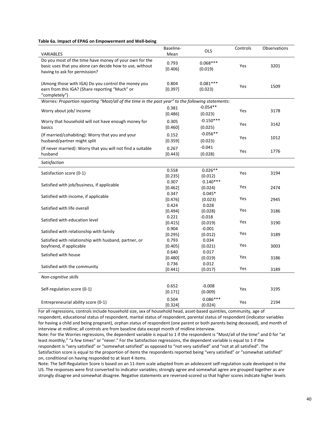#### **Table 6a. Impact of EPAG on Empowerment and Well-being**

| VARIABLES                                                                                                                                           | Baseline-<br>Mean | <b>OLS</b>             | Controls | Observations |
|-----------------------------------------------------------------------------------------------------------------------------------------------------|-------------------|------------------------|----------|--------------|
| Do you most of the time have money of your own for the<br>basic uses that you alone can decide how to use, without<br>having to ask for permission? | 0.793<br>[0.406]  | $0.068***$<br>(0.019)  | Yes      | 3201         |
| (Among those with IGA) Do you control the money you<br>earn from this IGA? (Share reporting "Much" or<br>"completely")                              | 0.804<br>[0.397]  | $0.081***$<br>(0.023)  | Yes      | 1509         |
| Worries: Proportion reporting "Most/all of the time in the past year" to the following statements:                                                  |                   |                        |          |              |
| Worry about job/ income                                                                                                                             | 0.381<br>[0.486]  | $-0.054**$<br>(0.023)  | Yes      | 3178         |
| Worry that household will not have enough money for<br>basics                                                                                       | 0.305<br>[0.460]  | $-0.150***$<br>(0.025) | Yes      | 3142         |
| (If married/cohabiting): Worry that you and your<br>husband/partner might split                                                                     | 0.152<br>[0.359]  | $-0.056**$<br>(0.023)  | Yes      | 1012         |
| (If never married): Worry that you will not find a suitable<br>husband                                                                              | 0.267<br>[0.443]  | $-0.041$<br>(0.028)    | Yes      | 1776         |
| Satisfaction                                                                                                                                        |                   |                        |          |              |
| Satisfaction score (0-1)                                                                                                                            | 0.558<br>[0.235]  | $0.026**$<br>(0.012)   | Yes      | 3194         |
| Satisfied with job/business, if applicable                                                                                                          | 0.307<br>[0.462]  | $0.140***$<br>(0.024)  | Yes      | 2474         |
| Satisfied with income, if applicable                                                                                                                | 0.347<br>[0.476]  | $0.045*$<br>(0.023)    | Yes      | 2945         |
| Satisfied with life overall                                                                                                                         | 0.424<br>[0.494]  | 0.028<br>(0.028)       | Yes      | 3186         |
| Satisfied with education level                                                                                                                      | 0.221<br>[0.415]  | $-0.018$<br>(0.019)    | Yes      | 3190         |
| Satisfied with relationship with family                                                                                                             | 0.904<br>[0.295]  | $-0.001$<br>(0.012)    | Yes      | 3189         |
| Satisfied with relationship with husband, partner, or<br>boyfriend, if applicable                                                                   | 0.793<br>[0.405]  | 0.034<br>(0.021)       | Yes      | 3003         |
| Satisfied with house                                                                                                                                | 0.640<br>[0.480]  | 0.017<br>(0.019)       | Yes      | 3186         |
| Satisfied with the community                                                                                                                        | 0.736<br>[0.441]  | 0.012<br>(0.017)       | Yes      | 3189         |
| Non-cognitive skills                                                                                                                                |                   |                        |          |              |
| Self-regulation score (0-1)                                                                                                                         | 0.652<br>[0.171]  | $-0.008$<br>(0.009)    | Yes      | 3195         |
| Entrepreneurial ability score (0-1)                                                                                                                 | 0.504<br>[0.324]  | $0.086***$<br>(0.024)  | Yes      | 2194         |

For all regressions, controls include household size, sex of household head, asset-based quintiles, community, age of respondent, educational status of respondent, marital status of respondent, parental status of respondent (indicator variables for having a child and being pregnant), orphan status of respondent (one parent or both parents being deceased), and month of interview at midline; all controls are from baseline data except month of midline interview.

Note: For the Worries regressions, the dependent variable is equal to 1 if the respondent is "Most/all of the time" and 0 for "at least monthly," "a few times" or "never." For the Satisfaction regressions, the dependent variable is equal to 1 if the respondent is "very satisfied" or "somewhat satisfied" as opposed to "not very satisfied" and "not at all satisfied". The Satisfaction score is equal to the proportion of items the respondents reported being "very satisfied" or "somewhat satisfied" on, conditional on having responded to at least 4 items.

Note: The Self-Regulation Score is based on an 11-item scale adapted from an adolescent self-regulation scale developed in the US. The responses were first converted to indicator variables; strongly agree and somewhat agree are grouped together as are strongly disagree and somewhat disagree. Negative statements are reversed-scored so that higher scores indicate higher levels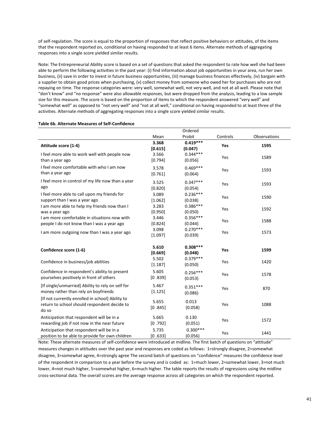of self-regulation. The score is equal to the proportion of responses that reflect positive behaviors or attitudes, of the items that the respondent reported on, conditional on having responded to at least 6 items. Alternate methods of aggregating responses into a single score yielded similar results.

Note: The Entrepreneurial Ability score is based on a set of questions that asked the respondent to rate how well she had been able to perform the following activities in the past year: (i) find information about job opportunities in your area, run her own business, (ii) save in order to invest in future business opportunities, (iii) manage business finances effectively, (iv) bargain with a supplier to obtain good prices when purchasing, (v) collect money from someone who owed her for purchases who are not repaying on time. The response categories were: very well, somewhat well, not very well, and not at all well. Please note that "don't know" and "no response" were also allowable responses, but were dropped from the analysis, leading to a low sample size for this measure. The score is based on the proportion of items to which the respondent answered "very well" and "somewhat well" as opposed to "not very well" and "not at all well," conditional on having responded to at least three of the activities. Alternate methods of aggregating responses into a single score yielded similar results.

|                                                                                                           |                  | Ordered               |          |              |
|-----------------------------------------------------------------------------------------------------------|------------------|-----------------------|----------|--------------|
|                                                                                                           | Mean             | Probit                | Controls | Observations |
| Attitude score (1-4)                                                                                      | 3.368<br>[0.615] | $0.419***$<br>(0.047) | Yes      | 1595         |
| I feel more able to work well with people now<br>than a year ago                                          | 3.566<br>[0.794] | $0.344***$<br>(0.056) | Yes      | 1589         |
| I feel more comfortable with who I am now<br>than a year ago                                              | 3.578<br>[0.761] | $0.469***$<br>(0.064) | Yes      | 1593         |
| I feel more in control of my life now than a year<br>ago                                                  | 3.525<br>[0.820] | $0.347***$<br>(0.054) | Yes      | 1593         |
| I feel more able to call upon my friends for<br>support than I was a year ago                             | 3.089<br>[1.062] | $0.236***$<br>(0.038) | Yes      | 1590         |
| I am more able to help my friends now than I<br>was a year ago                                            | 3.283<br>[0.950] | $0.386***$<br>(0.050) | Yes      | 1592         |
| I am more comfortable in situations now with<br>people I do not know than I was a year ago                | 3.446<br>[0.824] | $0.356***$<br>(0.044) | Yes      | 1588         |
| I am more outgoing now than I was a year ago                                                              | 3.098<br>[1.097] | $0.270***$<br>(0.039) | Yes      | 1573         |
| Confidence score (1-6)                                                                                    | 5.610<br>[0.669] | $0.308***$<br>(0.048) | Yes      | 1599         |
| Confidence in business/job abilities                                                                      | 5.502<br>[1.187] | $0.379***$<br>(0.050) | Yes      | 1420         |
| Confidence in respondent's ability to present<br>yourselves positively in front of others                 | 5.605<br>[0.839] | $0.256***$<br>(0.053) | Yes      | 1578         |
| [If single/unmarried] Ability to rely on self for<br>money rather than rely on boyfriends                 | 5.467<br>[1.125] | $0.351***$<br>(0.086) | Yes      | 870          |
| [If not currently enrolled in school] Ability to<br>return to school should respondent decide to<br>do so | 5.655<br>[0.845] | 0.013<br>(0.058)      | Yes      | 1088         |
| Anticipation that respondent will be in a<br>rewarding job if not now in the near future                  | 5.665<br>[0.792] | 0.130<br>(0.051)      | Yes      | 1572         |
| Anticipation that respondent will be in a<br>position to be able to provide for own children              | 5.735<br>[0.633] | $0.300***$<br>(0.056) | Yes      | 1441         |

#### **Table 6b. Alternate Measures of Self-Confidence**

Note: These alternate measures of self-confidence were introduced at midline. The first batch of questions on "attitude" measures changes in attitudes over the past year and responses are coded as follows: 1=strongly disagree, 2=somewhat disagree, 3=somewhat agree, 4=strongly agree The second batch of questions on "confidence" measures the confidence level of the respondent in comparison to a year before the survey and is coded as: 1=much lower, 2=somewhat lower, 3=not much lower, 4=not much higher, 5=somewhat higher, 6=much higher. The table reports the results of regressions using the midline cross-sectional data. The overall scores are the average response across all categories on which the respondent reported.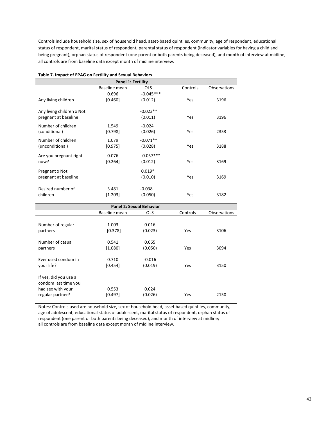Controls include household size, sex of household head, asset-based quintiles, community, age of respondent, educational status of respondent, marital status of respondent, parental status of respondent (indicator variables for having a child and being pregnant), orphan status of respondent (one parent or both parents being deceased), and month of interview at midline; all controls are from baseline data except month of midline interview.

| Table 7. Impact of EPAG on Fertility and Sexual Behaviors |                           |             |          |                     |  |  |
|-----------------------------------------------------------|---------------------------|-------------|----------|---------------------|--|--|
|                                                           | <b>Panel 1: Fertility</b> |             |          |                     |  |  |
|                                                           | Baseline mean             | <b>OLS</b>  | Controls | <b>Observations</b> |  |  |
|                                                           | 0.696                     | $-0.045***$ |          |                     |  |  |
| Any living children                                       | [0.460]                   | (0.012)     | Yes      | 3196                |  |  |
| Any living children x Not                                 |                           | $-0.023**$  |          |                     |  |  |
| pregnant at baseline                                      |                           | (0.011)     | Yes      | 3196                |  |  |
| Number of children                                        | 1.549                     | $-0.024$    |          |                     |  |  |
| (conditional)                                             | [0.798]                   | (0.026)     | Yes      | 2353                |  |  |
| Number of children                                        | 1.079                     | $-0.071**$  |          |                     |  |  |
| (unconditional)                                           | $[0.975]$                 | (0.028)     | Yes      | 3188                |  |  |
| Are you pregnant right                                    | 0.076                     | $0.057***$  |          |                     |  |  |
| now?                                                      | $[0.264]$                 | (0.012)     | Yes      | 3169                |  |  |
| Pregnant x Not                                            |                           | $0.019*$    |          |                     |  |  |
| pregnant at baseline                                      |                           | (0.010)     | Yes      | 3169                |  |  |
| Desired number of                                         | 3.481                     | $-0.038$    |          |                     |  |  |
| children                                                  | [1.203]                   | (0.050)     | Yes      | 3182                |  |  |

| <b>Panel 2: Sexual Behavior</b>                                                        |                  |                     |          |              |  |  |  |
|----------------------------------------------------------------------------------------|------------------|---------------------|----------|--------------|--|--|--|
|                                                                                        | Baseline mean    | <b>OLS</b>          | Controls | Observations |  |  |  |
| Number of regular<br>partners                                                          | 1.003<br>[0.378] | 0.016<br>(0.023)    | Yes      | 3106         |  |  |  |
| Number of casual<br>partners                                                           | 0.541<br>[1.080] | 0.065<br>(0.050)    | Yes      | 3094         |  |  |  |
| Ever used condom in<br>your life?                                                      | 0.710<br>[0.454] | $-0.016$<br>(0.019) | Yes      | 3150         |  |  |  |
| If yes, did you use a<br>condom last time you<br>had sex with your<br>regular partner? | 0.553<br>[0.497] | 0.024<br>(0.026)    | Yes      | 2150         |  |  |  |

Notes: Controls used are household size, sex of household head, asset based quintiles, community, age of adolescent, educational status of adolescent, marital status of respondent, orphan status of respondent (one parent or both parents being deceased), and month of interview at midline; all controls are from baseline data except month of midline interview.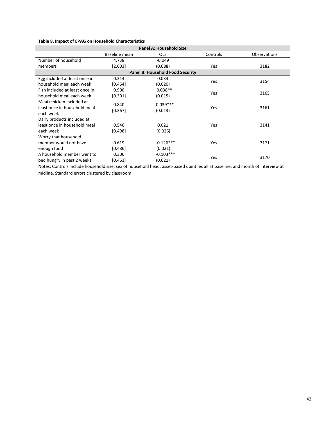|  |  |  |  | Table 8. Impact of EPAG on Household Characteristics |
|--|--|--|--|------------------------------------------------------|
|--|--|--|--|------------------------------------------------------|

| Panel A: Household Size                 |               |             |          |                     |  |  |  |  |  |
|-----------------------------------------|---------------|-------------|----------|---------------------|--|--|--|--|--|
|                                         | Baseline mean | <b>OLS</b>  | Controls | <b>Observations</b> |  |  |  |  |  |
| Number of household                     | 4.738         | $-0.049$    |          |                     |  |  |  |  |  |
| members                                 | [2.603]       | (0.088)     | Yes      | 3182                |  |  |  |  |  |
| <b>Panel B: Household Food Security</b> |               |             |          |                     |  |  |  |  |  |
| Egg included at least once in           | 0.314         | 0.034       | Yes      | 3154                |  |  |  |  |  |
| household meal each week                | [0.464]       | (0.020)     |          |                     |  |  |  |  |  |
| Fish included at least once in          | 0.900         | $0.038**$   | Yes      | 3165                |  |  |  |  |  |
| household meal each week                | [0.301]       | (0.015)     |          |                     |  |  |  |  |  |
| Meat/chicken included at                | 0.840         | $0.039***$  |          |                     |  |  |  |  |  |
| least once in household meal            | [0.367]       | (0.013)     | Yes      | 3161                |  |  |  |  |  |
| each week                               |               |             |          |                     |  |  |  |  |  |
| Dairy products included at              |               |             |          |                     |  |  |  |  |  |
| least once in household meal            | 0.546         | 0.021       | Yes      | 3141                |  |  |  |  |  |
| each week                               | [0.498]       | (0.026)     |          |                     |  |  |  |  |  |
| Worry that household                    |               |             |          |                     |  |  |  |  |  |
| member would not have                   | 0.619         | $-0.126***$ | Yes      | 3171                |  |  |  |  |  |
| enough food                             | [0.486]       | (0.021)     |          |                     |  |  |  |  |  |
| A household member went to              | 0.306         | $-0.103***$ |          |                     |  |  |  |  |  |
| bed hungry in past 2 weeks              | [0.461]       | (0.021)     | Yes      | 3170                |  |  |  |  |  |

Notes: Controls include household size, sex of household head, asset-based quintiles all at baseline, and month of interview at midline. Standard errors clustered by classroom.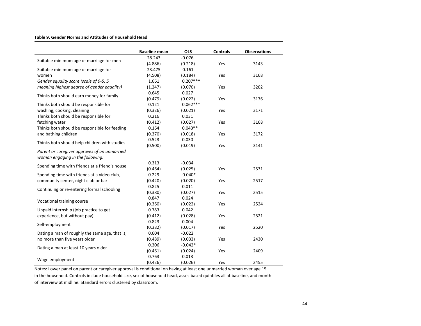#### **Table 9. Gender Norms and Attitudes of Household Head**

| <b>OLS</b><br><b>Controls</b><br><b>Observations</b><br><b>Baseline mean</b><br>28.243<br>$-0.076$<br>Suitable minimum age of marriage for men<br>(4.886)<br>Yes<br>3143<br>(0.218)<br>$-0.161$<br>Suitable minimum age of marriage for<br>23.475<br>(4.508)<br>(0.184)<br>Yes<br>3168<br>women<br>$0.207***$<br>Gender equality score (scale of 0-5, 5<br>1.661<br>meaning highest degree of gender equality)<br>(0.070)<br>3202<br>(1.247)<br>Yes<br>0.645<br>0.027<br>Thinks both should earn money for family<br>(0.479)<br>(0.022)<br>Yes<br>3176 |
|--------------------------------------------------------------------------------------------------------------------------------------------------------------------------------------------------------------------------------------------------------------------------------------------------------------------------------------------------------------------------------------------------------------------------------------------------------------------------------------------------------------------------------------------------------|
|                                                                                                                                                                                                                                                                                                                                                                                                                                                                                                                                                        |
|                                                                                                                                                                                                                                                                                                                                                                                                                                                                                                                                                        |
|                                                                                                                                                                                                                                                                                                                                                                                                                                                                                                                                                        |
|                                                                                                                                                                                                                                                                                                                                                                                                                                                                                                                                                        |
|                                                                                                                                                                                                                                                                                                                                                                                                                                                                                                                                                        |
|                                                                                                                                                                                                                                                                                                                                                                                                                                                                                                                                                        |
|                                                                                                                                                                                                                                                                                                                                                                                                                                                                                                                                                        |
|                                                                                                                                                                                                                                                                                                                                                                                                                                                                                                                                                        |
|                                                                                                                                                                                                                                                                                                                                                                                                                                                                                                                                                        |
| $0.062***$<br>0.121<br>Thinks both should be responsible for                                                                                                                                                                                                                                                                                                                                                                                                                                                                                           |
| washing, cooking, cleaning<br>(0.326)<br>(0.021)<br>3171<br>Yes                                                                                                                                                                                                                                                                                                                                                                                                                                                                                        |
| Thinks both should be responsible for<br>0.216<br>0.031                                                                                                                                                                                                                                                                                                                                                                                                                                                                                                |
| fetching water<br>(0.027)<br>Yes<br>(0.412)<br>3168                                                                                                                                                                                                                                                                                                                                                                                                                                                                                                    |
| $0.043**$<br>Thinks both should be responsible for feeding<br>0.164                                                                                                                                                                                                                                                                                                                                                                                                                                                                                    |
| and bathing children<br>(0.370)<br>(0.018)<br>Yes<br>3172                                                                                                                                                                                                                                                                                                                                                                                                                                                                                              |
| 0.523<br>0.030<br>Thinks both should help children with studies                                                                                                                                                                                                                                                                                                                                                                                                                                                                                        |
| (0.500)<br>(0.019)<br>Yes<br>3141                                                                                                                                                                                                                                                                                                                                                                                                                                                                                                                      |
| Parent or caregiver approves of an unmarried                                                                                                                                                                                                                                                                                                                                                                                                                                                                                                           |
| woman engaging in the following:                                                                                                                                                                                                                                                                                                                                                                                                                                                                                                                       |
| 0.313<br>$-0.034$                                                                                                                                                                                                                                                                                                                                                                                                                                                                                                                                      |
| Spending time with friends at a friend's house<br>(0.464)<br>(0.025)<br>Yes<br>2531                                                                                                                                                                                                                                                                                                                                                                                                                                                                    |
| 0.229<br>$-0.040*$<br>Spending time with friends at a video club,                                                                                                                                                                                                                                                                                                                                                                                                                                                                                      |
| community center, night club or bar<br>(0.420)<br>(0.020)<br>Yes<br>2517                                                                                                                                                                                                                                                                                                                                                                                                                                                                               |
| 0.825<br>0.011                                                                                                                                                                                                                                                                                                                                                                                                                                                                                                                                         |
| Continuing or re-entering formal schooling<br>(0.380)<br>(0.027)<br>Yes<br>2515                                                                                                                                                                                                                                                                                                                                                                                                                                                                        |
| 0.847<br>0.024                                                                                                                                                                                                                                                                                                                                                                                                                                                                                                                                         |
| Vocational training course<br>(0.360)<br>(0.022)<br>Yes<br>2524                                                                                                                                                                                                                                                                                                                                                                                                                                                                                        |
| 0.783<br>0.042<br>Unpaid internship (job practice to get                                                                                                                                                                                                                                                                                                                                                                                                                                                                                               |
| experience, but without pay)<br>(0.412)<br>(0.028)<br>Yes<br>2521                                                                                                                                                                                                                                                                                                                                                                                                                                                                                      |
| 0.823<br>0.004                                                                                                                                                                                                                                                                                                                                                                                                                                                                                                                                         |
| Self-employment<br>(0.382)<br>Yes<br>(0.017)<br>2520                                                                                                                                                                                                                                                                                                                                                                                                                                                                                                   |
| Dating a man of roughly the same age, that is,<br>0.604<br>$-0.022$                                                                                                                                                                                                                                                                                                                                                                                                                                                                                    |
| no more than five years older<br>(0.489)<br>Yes<br>2430<br>(0.033)                                                                                                                                                                                                                                                                                                                                                                                                                                                                                     |
| 0.306<br>$-0.042*$                                                                                                                                                                                                                                                                                                                                                                                                                                                                                                                                     |
| Dating a man at least 10 years older<br>(0.461)<br>(0.024)<br>Yes<br>2409                                                                                                                                                                                                                                                                                                                                                                                                                                                                              |
| 0.763<br>0.013                                                                                                                                                                                                                                                                                                                                                                                                                                                                                                                                         |
| Wage employment<br>(0.426)<br>(0.026)<br>Yes<br>2455                                                                                                                                                                                                                                                                                                                                                                                                                                                                                                   |

Notes: Lower panel on parent or caregiver approval is conditional on having at least one unmarried woman over age 15 in the household. Controls include household size, sex of household head, asset-based quintiles all at baseline, and month of interview at midline. Standard errors clustered by classroom.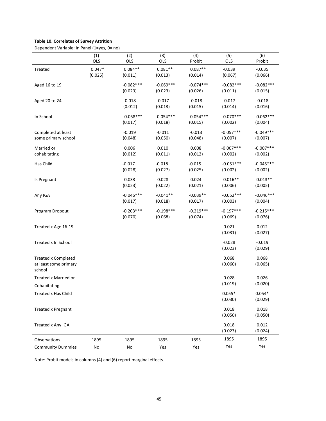# **Table 10. Correlates of Survey Attrition**

Dependent Variable: In Panel (1=yes, 0= no)

|                                                               | (1)<br>OLS          | (2)<br>OLS             | (3)<br>OLS             | (4)<br>Probit          | (5)<br>OLS             | (6)<br>Probit          |
|---------------------------------------------------------------|---------------------|------------------------|------------------------|------------------------|------------------------|------------------------|
| Treated                                                       | $0.047*$<br>(0.025) | $0.084**$<br>(0.011)   | $0.081**$<br>(0.013)   | $0.087**$<br>(0.014)   | $-0.039$<br>(0.067)    | $-0.035$<br>(0.066)    |
| Aged 16 to 19                                                 |                     | $-0.082***$<br>(0.023) | $-0.069***$<br>(0.023) | $-0.074***$<br>(0.026) | $-0.082***$<br>(0.011) | $-0.082***$<br>(0.015) |
| Aged 20 to 24                                                 |                     | $-0.018$<br>(0.012)    | $-0.017$<br>(0.013)    | $-0.018$<br>(0.015)    | $-0.017$<br>(0.014)    | $-0.018$<br>(0.016)    |
| In School                                                     |                     | $0.058***$<br>(0.017)  | $0.054***$<br>(0.018)  | $0.054***$<br>(0.015)  | $0.070***$<br>(0.002)  | $0.062***$<br>(0.004)  |
| Completed at least<br>some primary school                     |                     | $-0.019$<br>(0.048)    | $-0.011$<br>(0.050)    | $-0.013$<br>(0.048)    | $-0.057***$<br>(0.007) | $-0.049***$<br>(0.007) |
| Married or<br>cohabitating                                    |                     | 0.006<br>(0.012)       | 0.010<br>(0.011)       | 0.008<br>(0.012)       | $-0.007***$<br>(0.002) | $-0.007***$<br>(0.002) |
| Has Child                                                     |                     | $-0.017$<br>(0.028)    | $-0.018$<br>(0.027)    | $-0.015$<br>(0.025)    | $-0.051***$<br>(0.002) | $-0.045***$<br>(0.002) |
| Is Pregnant                                                   |                     | 0.033<br>(0.023)       | 0.028<br>(0.022)       | 0.024<br>(0.021)       | $0.016**$<br>(0.006)   | $0.013**$<br>(0.005)   |
| Any IGA                                                       |                     | $-0.046***$<br>(0.017) | $-0.041**$<br>(0.018)  | $-0.039**$<br>(0.017)  | $-0.052***$<br>(0.003) | $-0.046***$<br>(0.004) |
| Program Dropout                                               |                     | $-0.203***$<br>(0.070) | $-0.198***$<br>(0.068) | $-0.219***$<br>(0.074) | $-0.197***$<br>(0.069) | $-0.215***$<br>(0.076) |
| Treated x Age 16-19                                           |                     |                        |                        |                        | 0.021<br>(0.031)       | 0.012<br>(0.027)       |
| Treated x In School                                           |                     |                        |                        |                        | $-0.028$<br>(0.023)    | $-0.019$<br>(0.029)    |
| <b>Treated x Completed</b><br>at least some primary<br>school |                     |                        |                        |                        | 0.068<br>(0.060)       | 0.068<br>(0.065)       |
| Treated x Married or                                          |                     |                        |                        |                        | 0.028                  | 0.026                  |
| Cohabitating                                                  |                     |                        |                        |                        | (0.019)                | (0.020)                |
| Treated x Has Child                                           |                     |                        |                        |                        | $0.055*$<br>(0.030)    | $0.054*$<br>(0.029)    |
| <b>Treated x Pregnant</b>                                     |                     |                        |                        |                        | 0.018<br>(0.050)       | 0.018<br>(0.050)       |
| Treated x Any IGA                                             |                     |                        |                        |                        | 0.018<br>(0.023)       | 0.012<br>(0.024)       |
| Observations                                                  | 1895                | 1895                   | 1895                   | 1895                   | 1895                   | 1895                   |
| <b>Community Dummies</b>                                      | ${\sf No}$          | No                     | Yes                    | Yes                    | Yes                    | Yes                    |

Note: Probit models in columns (4) and (6) report marginal effects.